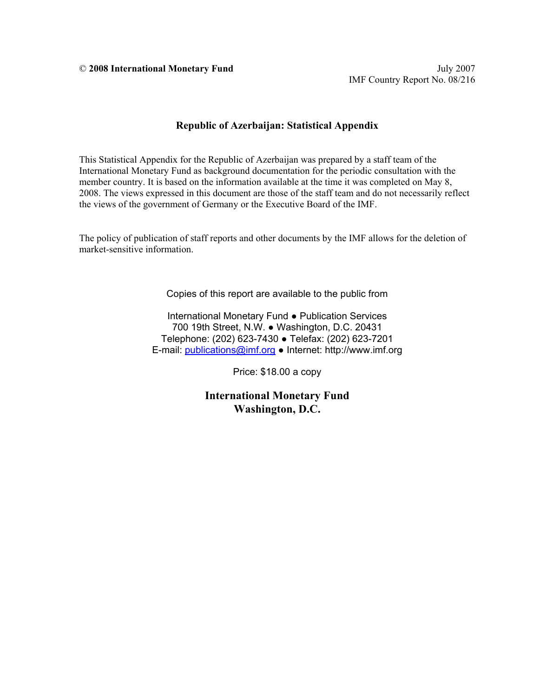© **2008 International Monetary Fund** July 2007

#### **Republic of Azerbaijan: Statistical Appendix**

This Statistical Appendix for the Republic of Azerbaijan was prepared by a staff team of the International Monetary Fund as background documentation for the periodic consultation with the member country. It is based on the information available at the time it was completed on May 8, 2008. The views expressed in this document are those of the staff team and do not necessarily reflect the views of the government of Germany or the Executive Board of the IMF.

The policy of publication of staff reports and other documents by the IMF allows for the deletion of market-sensitive information.

Copies of this report are available to the public from

International Monetary Fund ● Publication Services 700 19th Street, N.W. ● Washington, D.C. 20431 Telephone: (202) 623-7430 ● Telefax: (202) 623-7201 E-mail: [publications@imf.org](mailto:publications@imf.org) ● Internet: http://www.imf.org

Price: \$18.00 a copy

**International Monetary Fund Washington, D.C.**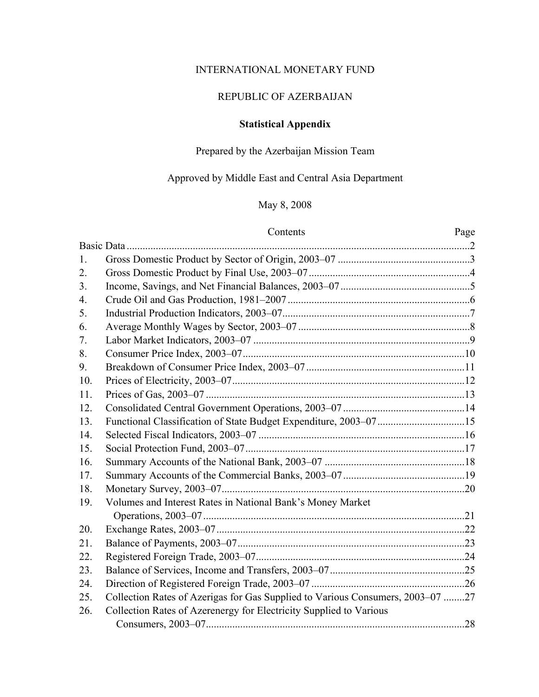## INTERNATIONAL MONETARY FUND

## REPUBLIC OF AZERBAIJAN

## **Statistical Appendix**

## Prepared by the Azerbaijan Mission Team

### Approved by Middle East and Central Asia Department

## May 8, 2008

#### Contents Page

| 1.  |                                                                                |     |
|-----|--------------------------------------------------------------------------------|-----|
| 2.  |                                                                                |     |
| 3.  |                                                                                |     |
| 4.  |                                                                                |     |
| 5.  |                                                                                |     |
| 6.  |                                                                                |     |
| 7.  |                                                                                |     |
| 8.  |                                                                                |     |
| 9.  |                                                                                |     |
| 10. |                                                                                |     |
| 11. |                                                                                |     |
| 12. |                                                                                |     |
| 13. |                                                                                |     |
| 14. |                                                                                |     |
| 15. |                                                                                |     |
| 16. |                                                                                |     |
| 17. |                                                                                |     |
| 18. |                                                                                |     |
| 19. | Volumes and Interest Rates in National Bank's Money Market                     |     |
|     |                                                                                |     |
| 20. |                                                                                |     |
| 21. |                                                                                |     |
| 22. |                                                                                |     |
| 23. |                                                                                |     |
| 24. |                                                                                |     |
| 25. | Collection Rates of Azerigas for Gas Supplied to Various Consumers, 2003-07 27 |     |
| 26. | Collection Rates of Azerenergy for Electricity Supplied to Various             |     |
|     |                                                                                | .28 |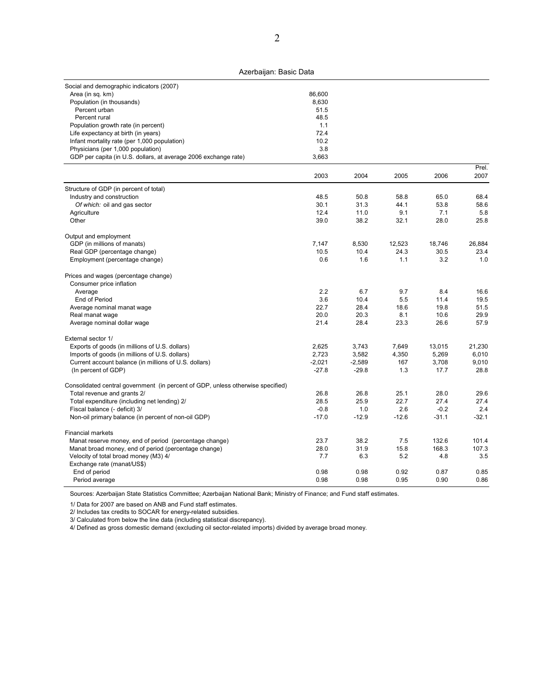| Social and demographic indicators (2007)<br>Area (in sq. km)    | 86,600 |  |
|-----------------------------------------------------------------|--------|--|
| Population (in thousands)                                       | 8.630  |  |
| Percent urban                                                   | 51.5   |  |
| Percent rural                                                   | 48.5   |  |
| Population growth rate (in percent)                             | 1.1    |  |
| Life expectancy at birth (in years)                             | 724    |  |
| Infant mortality rate (per 1,000 population)                    | 10.2   |  |
| Physicians (per 1,000 population)                               | 3.8    |  |
| GDP per capita (in U.S. dollars, at average 2006 exchange rate) | 3,663  |  |

|                                                                                 | 2003     | 2004     | 2005    | 2006    | 2007    |
|---------------------------------------------------------------------------------|----------|----------|---------|---------|---------|
| Structure of GDP (in percent of total)                                          |          |          |         |         |         |
| Industry and construction                                                       | 48.5     | 50.8     | 58.8    | 65.0    | 68.4    |
| Of which: oil and gas sector                                                    | 30.1     | 31.3     | 44.1    | 53.8    | 58.6    |
| Agriculture                                                                     | 12.4     | 11.0     | 9.1     | 7.1     | 5.8     |
| Other                                                                           | 39.0     | 38.2     | 32.1    | 28.0    | 25.8    |
| Output and employment                                                           |          |          |         |         |         |
| GDP (in millions of manats)                                                     | 7,147    | 8,530    | 12,523  | 18,746  | 26,884  |
| Real GDP (percentage change)                                                    | 10.5     | 10.4     | 24.3    | 30.5    | 23.4    |
| Employment (percentage change)                                                  | 0.6      | 1.6      | 1.1     | 3.2     | 1.0     |
| Prices and wages (percentage change)                                            |          |          |         |         |         |
| Consumer price inflation                                                        |          |          |         |         |         |
| Average                                                                         | 2.2      | 6.7      | 9.7     | 8.4     | 16.6    |
| End of Period                                                                   | 3.6      | 10.4     | 5.5     | 11.4    | 19.5    |
| Average nominal manat wage                                                      | 22.7     | 28.4     | 18.6    | 19.8    | 51.5    |
| Real manat wage                                                                 | 20.0     | 20.3     | 8.1     | 10.6    | 29.9    |
| Average nominal dollar wage                                                     | 21.4     | 28.4     | 23.3    | 26.6    | 57.9    |
| External sector 1/                                                              |          |          |         |         |         |
| Exports of goods (in millions of U.S. dollars)                                  | 2.625    | 3,743    | 7,649   | 13,015  | 21,230  |
| Imports of goods (in millions of U.S. dollars)                                  | 2,723    | 3,582    | 4,350   | 5,269   | 6,010   |
| Current account balance (in millions of U.S. dollars)                           | $-2,021$ | $-2,589$ | 167     | 3,708   | 9,010   |
| (In percent of GDP)                                                             | $-27.8$  | $-29.8$  | 1.3     | 17.7    | 28.8    |
| Consolidated central government (in percent of GDP, unless otherwise specified) |          |          |         |         |         |
| Total revenue and grants 2/                                                     | 26.8     | 26.8     | 25.1    | 28.0    | 29.6    |
| Total expenditure (including net lending) 2/                                    | 28.5     | 25.9     | 22.7    | 27.4    | 27.4    |
| Fiscal balance (- deficit) 3/                                                   | $-0.8$   | 1.0      | 2.6     | $-0.2$  | 2.4     |
| Non-oil primary balance (in percent of non-oil GDP)                             | $-17.0$  | $-12.9$  | $-12.6$ | $-31.1$ | $-32.1$ |
| <b>Financial markets</b>                                                        |          |          |         |         |         |
| Manat reserve money, end of period (percentage change)                          | 23.7     | 38.2     | 7.5     | 132.6   | 101.4   |
| Manat broad money, end of period (percentage change)                            | 28.0     | 31.9     | 15.8    | 168.3   | 107.3   |
| Velocity of total broad money (M3) 4/                                           | 7.7      | 6.3      | 5.2     | 4.8     | 3.5     |
| Exchange rate (manat/US\$)                                                      |          |          |         |         |         |
| End of period                                                                   | 0.98     | 0.98     | 0.92    | 0.87    | 0.85    |
| Period average                                                                  | 0.98     | 0.98     | 0.95    | 0.90    | 0.86    |

Sources: Azerbaijan State Statistics Committee; Azerbaijan National Bank; Ministry of Finance; and Fund staff estimates.

1/ Data for 2007 are based on ANB and Fund staff estimates.

2/ Includes tax credits to SOCAR for energy-related subsidies.

3/ Calculated from below the line data (including statistical discrepancy).

4/ Defined as gross domestic demand (excluding oil sector-related imports) divided by average broad money.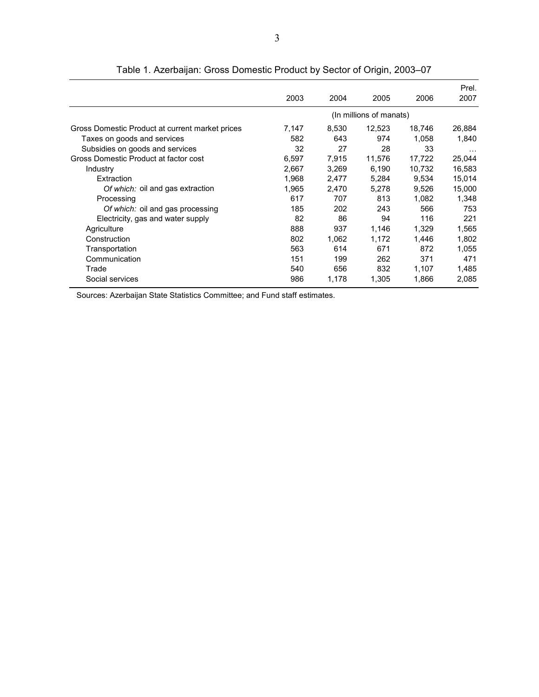|                                                 | 2003  | 2004  | 2005                    | 2006   | Prel.<br>2007 |
|-------------------------------------------------|-------|-------|-------------------------|--------|---------------|
|                                                 |       |       | (In millions of manats) |        |               |
| Gross Domestic Product at current market prices | 7,147 | 8,530 | 12,523                  | 18,746 | 26,884        |
| Taxes on goods and services                     | 582   | 643   | 974                     | 1,058  | 1,840         |
| Subsidies on goods and services                 | 32    | 27    | 28                      | 33     | $\cdots$      |
| Gross Domestic Product at factor cost           | 6,597 | 7.915 | 11,576                  | 17,722 | 25,044        |
| Industry                                        | 2,667 | 3,269 | 6,190                   | 10,732 | 16,583        |
| Extraction                                      | 1,968 | 2,477 | 5,284                   | 9,534  | 15,014        |
| Of which: oil and gas extraction                | 1.965 | 2.470 | 5.278                   | 9.526  | 15,000        |
| Processing                                      | 617   | 707   | 813                     | 1.082  | 1.348         |
| Of which: oil and gas processing                | 185   | 202   | 243                     | 566    | 753           |
| Electricity, gas and water supply               | 82    | 86    | 94                      | 116    | 221           |
| Agriculture                                     | 888   | 937   | 1,146                   | 1.329  | 1,565         |
| Construction                                    | 802   | 1.062 | 1.172                   | 1.446  | 1,802         |
| Transportation                                  | 563   | 614   | 671                     | 872    | 1.055         |
| Communication                                   | 151   | 199   | 262                     | 371    | 471           |
| Trade                                           | 540   | 656   | 832                     | 1.107  | 1,485         |
| Social services                                 | 986   | 1,178 | 1,305                   | 1,866  | 2,085         |

Table 1. Azerbaijan: Gross Domestic Product by Sector of Origin, 2003–07

Sources: Azerbaijan State Statistics Committee; and Fund staff estimates.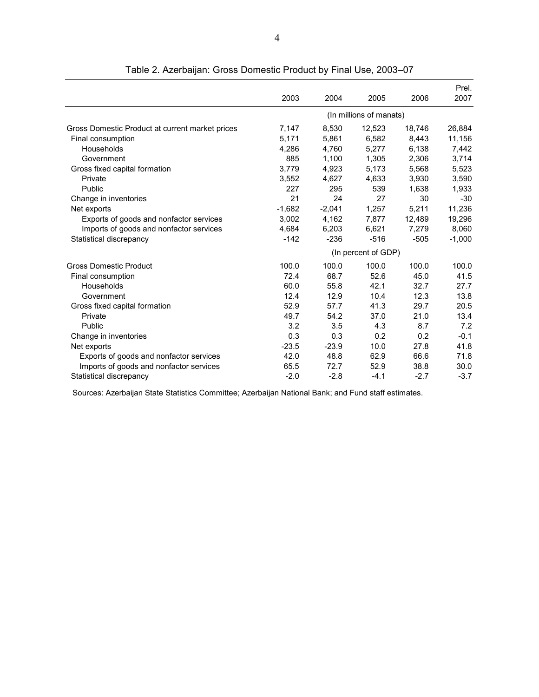|                                                 |          |          |                         |        | Prel.    |
|-------------------------------------------------|----------|----------|-------------------------|--------|----------|
|                                                 | 2003     | 2004     | 2005                    | 2006   | 2007     |
|                                                 |          |          | (In millions of manats) |        |          |
| Gross Domestic Product at current market prices | 7,147    | 8,530    | 12,523                  | 18,746 | 26,884   |
| Final consumption                               | 5,171    | 5,861    | 6,582                   | 8,443  | 11,156   |
| Households                                      | 4,286    | 4,760    | 5,277                   | 6,138  | 7,442    |
| Government                                      | 885      | 1,100    | 1,305                   | 2,306  | 3,714    |
| Gross fixed capital formation                   | 3,779    | 4,923    | 5,173                   | 5,568  | 5,523    |
| Private                                         | 3,552    | 4,627    | 4,633                   | 3,930  | 3,590    |
| Public                                          | 227      | 295      | 539                     | 1,638  | 1,933    |
| Change in inventories                           | 21       | 24       | 27                      | 30     | $-30$    |
| Net exports                                     | $-1,682$ | $-2,041$ | 1,257                   | 5,211  | 11,236   |
| Exports of goods and nonfactor services         | 3,002    | 4,162    | 7,877                   | 12,489 | 19,296   |
| Imports of goods and nonfactor services         | 4,684    | 6,203    | 6,621                   | 7,279  | 8,060    |
| Statistical discrepancy                         | $-142$   | $-236$   | $-516$                  | $-505$ | $-1,000$ |
|                                                 |          |          | (In percent of GDP)     |        |          |
| <b>Gross Domestic Product</b>                   | 100.0    | 100.0    | 100.0                   | 100.0  | 100.0    |
| Final consumption                               | 72.4     | 68.7     | 52.6                    | 45.0   | 41.5     |
| Households                                      | 60.0     | 55.8     | 42.1                    | 32.7   | 27.7     |
| Government                                      | 12.4     | 12.9     | 10.4                    | 12.3   | 13.8     |
| Gross fixed capital formation                   | 52.9     | 57.7     | 41.3                    | 29.7   | 20.5     |
| Private                                         | 49.7     | 54.2     | 37.0                    | 21.0   | 13.4     |
| Public                                          | 3.2      | 3.5      | 4.3                     | 8.7    | 7.2      |
| Change in inventories                           | 0.3      | 0.3      | 0.2                     | 0.2    | $-0.1$   |
| Net exports                                     | $-23.5$  | $-23.9$  | 10.0                    | 27.8   | 41.8     |
| Exports of goods and nonfactor services         | 42.0     | 48.8     | 62.9                    | 66.6   | 71.8     |
| Imports of goods and nonfactor services         | 65.5     | 72.7     | 52.9                    | 38.8   | 30.0     |
| Statistical discrepancy                         | $-2.0$   | $-2.8$   | $-4.1$                  | $-2.7$ | $-3.7$   |

Table 2. Azerbaijan: Gross Domestic Product by Final Use, 2003–07

Sources: Azerbaijan State Statistics Committee; Azerbaijan National Bank; and Fund staff estimates.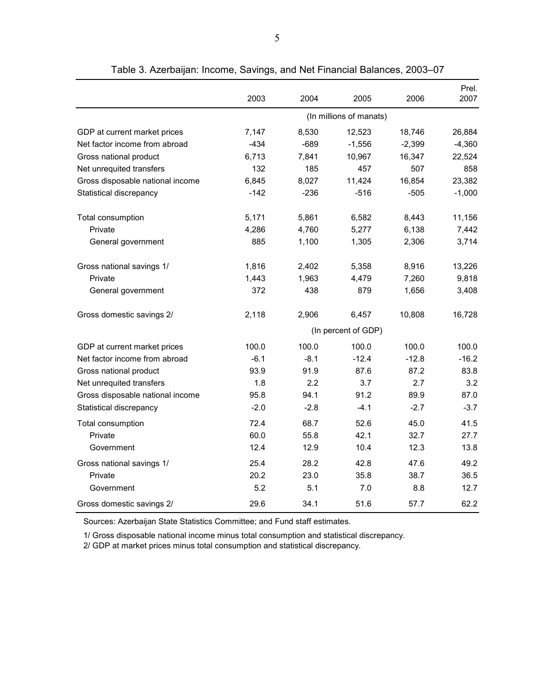|                                  |        |        |                         |          | Prel.    |
|----------------------------------|--------|--------|-------------------------|----------|----------|
|                                  | 2003   | 2004   | 2005                    | 2006     | 2007     |
|                                  |        |        | (In millions of manats) |          |          |
| GDP at current market prices     | 7,147  | 8,530  | 12,523                  | 18,746   | 26,884   |
| Net factor income from abroad    | $-434$ | $-689$ | $-1,556$                | $-2,399$ | $-4,360$ |
| Gross national product           | 6,713  | 7,841  | 10,967                  | 16,347   | 22,524   |
| Net unrequited transfers         | 132    | 185    | 457                     | 507      | 858      |
| Gross disposable national income | 6,845  | 8,027  | 11,424                  | 16,854   | 23,382   |
| Statistical discrepancy          | $-142$ | $-236$ | $-516$                  | $-505$   | $-1,000$ |
| Total consumption                | 5,171  | 5,861  | 6,582                   | 8,443    | 11,156   |
| Private                          | 4,286  | 4,760  | 5,277                   | 6,138    | 7,442    |
| General government               | 885    | 1,100  | 1,305                   | 2,306    | 3,714    |
| Gross national savings 1/        | 1,816  | 2,402  | 5,358                   | 8,916    | 13,226   |
| Private                          | 1,443  | 1,963  | 4,479                   | 7,260    | 9,818    |
| General government               | 372    | 438    | 879                     | 1,656    | 3,408    |
| Gross domestic savings 2/        | 2,118  | 2,906  | 6,457                   | 10,808   | 16,728   |
|                                  |        |        | (In percent of GDP)     |          |          |
| GDP at current market prices     | 100.0  | 100.0  | 100.0                   | 100.0    | 100.0    |
| Net factor income from abroad    | $-6.1$ | $-8.1$ | $-12.4$                 | $-12.8$  | $-16.2$  |
| Gross national product           | 93.9   | 91.9   | 87.6                    | 87.2     | 83.8     |
| Net unrequited transfers         | 1.8    | 2.2    | 3.7                     | 2.7      | 3.2      |
| Gross disposable national income | 95.8   | 94.1   | 91.2                    | 89.9     | 87.0     |
| Statistical discrepancy          | $-2.0$ | $-2.8$ | $-4.1$                  | $-2.7$   | $-3.7$   |
| Total consumption                | 72.4   | 68.7   | 52.6                    | 45.0     | 41.5     |
| Private                          | 60.0   | 55.8   | 42.1                    | 32.7     | 27.7     |
| Government                       | 12.4   | 12.9   | 10.4                    | 12.3     | 13.8     |
| Gross national savings 1/        | 25.4   | 28.2   | 42.8                    | 47.6     | 49.2     |
| Private                          | 20.2   | 23.0   | 35.8                    | 38.7     | 36.5     |
| Government                       | 5.2    | 5.1    | 7.0                     | 8.8      | 12.7     |
| Gross domestic savings 2/        | 29.6   | 34.1   | 51.6                    | 57.7     | 62.2     |

Table 3. Azerbaijan: Income, Savings, and Net Financial Balances, 2003–07

Sources: Azerbaijan State Statistics Committee; and Fund staff estimates.

1/ Gross disposable national income minus total consumption and statistical discrepancy.

2/ GDP at market prices minus total consumption and statistical discrepancy.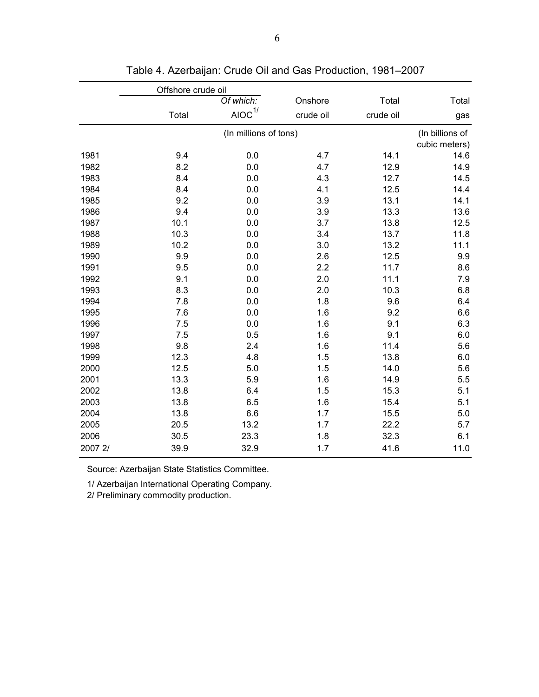|         | Offshore crude oil |                                   |           |           |                 |
|---------|--------------------|-----------------------------------|-----------|-----------|-----------------|
|         |                    | Of which:                         | Onshore   | Total     | Total           |
|         | Total              | $AIOC$ <sup><math>1/</math></sup> | crude oil | crude oil | gas             |
|         |                    | (In millions of tons)             |           |           | (In billions of |
|         |                    |                                   |           |           | cubic meters)   |
| 1981    | 9.4                | 0.0                               | 4.7       | 14.1      | 14.6            |
| 1982    | 8.2                | 0.0                               | 4.7       | 12.9      | 14.9            |
| 1983    | 8.4                | 0.0                               | 4.3       | 12.7      | 14.5            |
| 1984    | 8.4                | 0.0                               | 4.1       | 12.5      | 14.4            |
| 1985    | 9.2                | 0.0                               | 3.9       | 13.1      | 14.1            |
| 1986    | 9.4                | 0.0                               | 3.9       | 13.3      | 13.6            |
| 1987    | 10.1               | 0.0                               | 3.7       | 13.8      | 12.5            |
| 1988    | 10.3               | 0.0                               | 3.4       | 13.7      | 11.8            |
| 1989    | 10.2               | 0.0                               | 3.0       | 13.2      | 11.1            |
| 1990    | 9.9                | 0.0                               | 2.6       | 12.5      | 9.9             |
| 1991    | 9.5                | 0.0                               | 2.2       | 11.7      | 8.6             |
| 1992    | 9.1                | 0.0                               | 2.0       | 11.1      | 7.9             |
| 1993    | 8.3                | 0.0                               | 2.0       | 10.3      | 6.8             |
| 1994    | 7.8                | 0.0                               | 1.8       | 9.6       | 6.4             |
| 1995    | 7.6                | 0.0                               | 1.6       | 9.2       | 6.6             |
| 1996    | 7.5                | 0.0                               | 1.6       | 9.1       | 6.3             |
| 1997    | 7.5                | 0.5                               | 1.6       | 9.1       | 6.0             |
| 1998    | 9.8                | 2.4                               | 1.6       | 11.4      | 5.6             |
| 1999    | 12.3               | 4.8                               | 1.5       | 13.8      | 6.0             |
| 2000    | 12.5               | 5.0                               | 1.5       | 14.0      | 5.6             |
| 2001    | 13.3               | 5.9                               | 1.6       | 14.9      | 5.5             |
| 2002    | 13.8               | 6.4                               | 1.5       | 15.3      | 5.1             |
| 2003    | 13.8               | 6.5                               | 1.6       | 15.4      | 5.1             |
| 2004    | 13.8               | 6.6                               | 1.7       | 15.5      | 5.0             |
| 2005    | 20.5               | 13.2                              | 1.7       | 22.2      | 5.7             |
| 2006    | 30.5               | 23.3                              | 1.8       | 32.3      | 6.1             |
| 2007 2/ | 39.9               | 32.9                              | 1.7       | 41.6      | 11.0            |

Table 4. Azerbaijan: Crude Oil and Gas Production, 1981–2007

1/ Azerbaijan International Operating Company.

2/ Preliminary commodity production.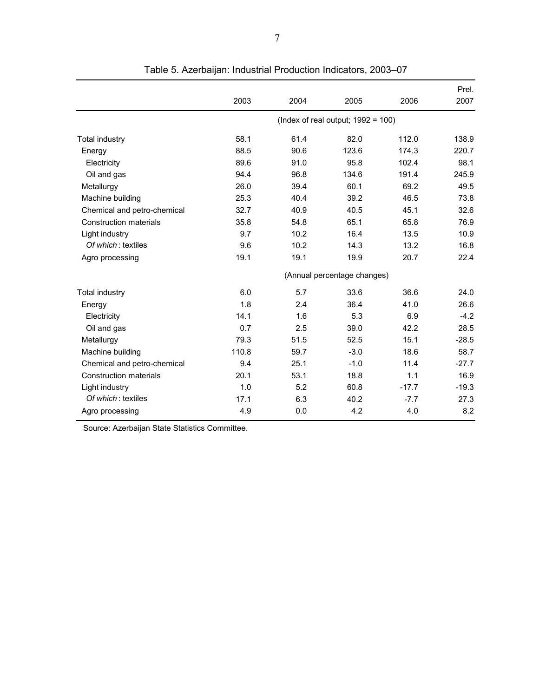|                               |       |      |                                       |         | Prel.   |
|-------------------------------|-------|------|---------------------------------------|---------|---------|
|                               | 2003  | 2004 | 2005                                  | 2006    | 2007    |
|                               |       |      | (Index of real output; $1992 = 100$ ) |         |         |
| Total industry                | 58.1  | 61.4 | 82.0                                  | 112.0   | 138.9   |
| Energy                        | 88.5  | 90.6 | 123.6                                 | 174.3   | 220.7   |
| Electricity                   | 89.6  | 91.0 | 95.8                                  | 102.4   | 98.1    |
| Oil and gas                   | 94.4  | 96.8 | 134.6                                 | 191.4   | 245.9   |
| Metallurgy                    | 26.0  | 39.4 | 60.1                                  | 69.2    | 49.5    |
| Machine building              | 25.3  | 40.4 | 39.2                                  | 46.5    | 73.8    |
| Chemical and petro-chemical   | 32.7  | 40.9 | 40.5                                  | 45.1    | 32.6    |
| <b>Construction materials</b> | 35.8  | 54.8 | 65.1                                  | 65.8    | 76.9    |
| Light industry                | 9.7   | 10.2 | 16.4                                  | 13.5    | 10.9    |
| Of which: textiles            | 9.6   | 10.2 | 14.3                                  | 13.2    | 16.8    |
| Agro processing               | 19.1  | 19.1 | 19.9                                  | 20.7    | 22.4    |
|                               |       |      | (Annual percentage changes)           |         |         |
| <b>Total industry</b>         | 6.0   | 5.7  | 33.6                                  | 36.6    | 24.0    |
| Energy                        | 1.8   | 2.4  | 36.4                                  | 41.0    | 26.6    |
| Electricity                   | 14.1  | 1.6  | 5.3                                   | 6.9     | $-4.2$  |
| Oil and gas                   | 0.7   | 2.5  | 39.0                                  | 42.2    | 28.5    |
| Metallurgy                    | 79.3  | 51.5 | 52.5                                  | 15.1    | $-28.5$ |
| Machine building              | 110.8 | 59.7 | $-3.0$                                | 18.6    | 58.7    |
| Chemical and petro-chemical   | 9.4   | 25.1 | $-1.0$                                | 11.4    | $-27.7$ |
| <b>Construction materials</b> | 20.1  | 53.1 | 18.8                                  | 1.1     | 16.9    |
| Light industry                | 1.0   | 5.2  | 60.8                                  | $-17.7$ | $-19.3$ |
| Of which: textiles            | 17.1  | 6.3  | 40.2                                  | $-7.7$  | 27.3    |
| Agro processing               | 4.9   | 0.0  | 4.2                                   | 4.0     | 8.2     |

Table 5. Azerbaijan: Industrial Production Indicators, 2003–07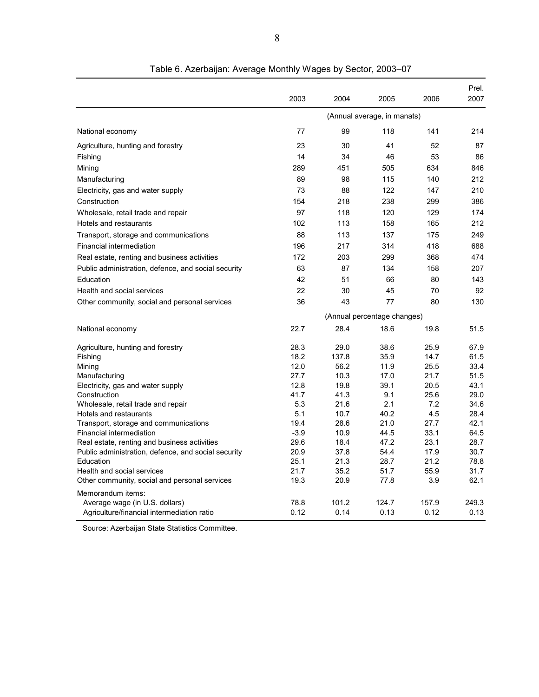|                                                     |             |              |                             |             | Prel.        |
|-----------------------------------------------------|-------------|--------------|-----------------------------|-------------|--------------|
|                                                     | 2003        | 2004         | 2005                        | 2006        | 2007         |
|                                                     |             |              | (Annual average, in manats) |             |              |
| National economy                                    | 77          | 99           | 118                         | 141         | 214          |
| Agriculture, hunting and forestry                   | 23          | 30           | 41                          | 52          | 87           |
| Fishing                                             | 14          | 34           | 46                          | 53          | 86           |
| Mining                                              | 289         | 451          | 505                         | 634         | 846          |
| Manufacturing                                       | 89          | 98           | 115                         | 140         | 212          |
| Electricity, gas and water supply                   | 73          | 88           | 122                         | 147         | 210          |
| Construction                                        | 154         | 218          | 238                         | 299         | 386          |
| Wholesale, retail trade and repair                  | 97          | 118          | 120                         | 129         | 174          |
| Hotels and restaurants                              | 102         | 113          | 158                         | 165         | 212          |
| Transport, storage and communications               | 88          | 113          | 137                         | 175         | 249          |
| <b>Financial intermediation</b>                     | 196         | 217          | 314                         | 418         | 688          |
| Real estate, renting and business activities        | 172         | 203          | 299                         | 368         | 474          |
| Public administration, defence, and social security | 63          | 87           | 134                         | 158         | 207          |
|                                                     |             |              |                             |             |              |
| Education                                           | 42          | 51           | 66                          | 80          | 143          |
| Health and social services                          | 22          | 30           | 45                          | 70          | 92           |
| Other community, social and personal services       | 36          | 43           | 77                          | 80          | 130          |
|                                                     |             |              | (Annual percentage changes) |             |              |
| National economy                                    | 22.7        | 28.4         | 18.6                        | 19.8        | 51.5         |
| Agriculture, hunting and forestry                   | 28.3        | 29.0         | 38.6                        | 25.9        | 67.9         |
| Fishing                                             | 18.2        | 137.8        | 35.9                        | 14.7        | 61.5         |
| Mining                                              | 12.0        | 56.2         | 11.9                        | 25.5        | 33.4         |
| Manufacturing                                       | 27.7        | 10.3         | 17.0                        | 21.7        | 51.5         |
| Electricity, gas and water supply                   | 12.8        | 19.8         | 39.1                        | 20.5        | 43.1         |
| Construction<br>Wholesale, retail trade and repair  | 41.7<br>5.3 | 41.3<br>21.6 | 9.1<br>2.1                  | 25.6<br>7.2 | 29.0<br>34.6 |
| Hotels and restaurants                              | 5.1         | 10.7         | 40.2                        | 4.5         | 28.4         |
| Transport, storage and communications               | 19.4        | 28.6         | 21.0                        | 27.7        | 42.1         |
| Financial intermediation                            | $-3.9$      | 10.9         | 44.5                        | 33.1        | 64.5         |
| Real estate, renting and business activities        | 29.6        | 18.4         | 47.2                        | 23.1        | 28.7         |
| Public administration, defence, and social security | 20.9        | 37.8         | 54.4                        | 17.9        | 30.7         |
| Education                                           | 25.1        | 21.3         | 28.7                        | 21.2        | 78.8         |
| Health and social services                          | 21.7        | 35.2         | 51.7                        | 55.9        | 31.7         |
| Other community, social and personal services       | 19.3        | 20.9         | 77.8                        | 3.9         | 62.1         |
| Memorandum items:                                   |             |              |                             |             |              |
| Average wage (in U.S. dollars)                      | 78.8        | 101.2        | 124.7                       | 157.9       | 249.3        |
| Agriculture/financial intermediation ratio          | 0.12        | 0.14         | 0.13                        | 0.12        | 0.13         |

Table 6. Azerbaijan: Average Monthly Wages by Sector, 2003–07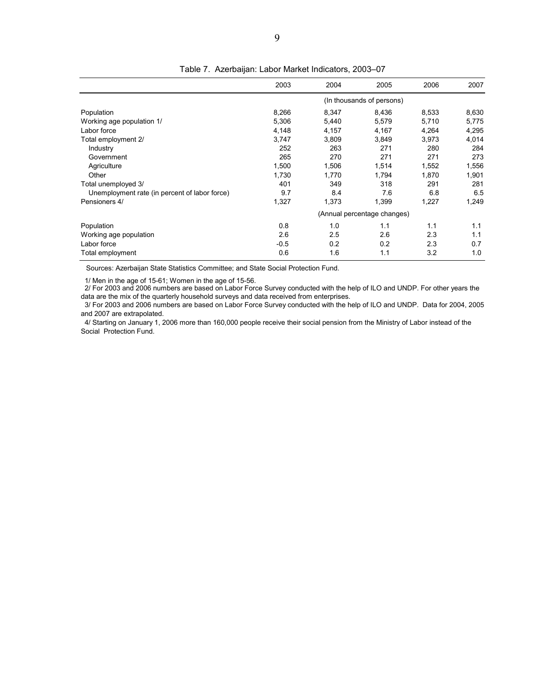|                                               | 2003   | 2004  | 2005                        | 2006  | 2007  |
|-----------------------------------------------|--------|-------|-----------------------------|-------|-------|
|                                               |        |       | (In thousands of persons)   |       |       |
| Population                                    | 8,266  | 8,347 | 8,436                       | 8,533 | 8,630 |
| Working age population 1/                     | 5,306  | 5,440 | 5,579                       | 5,710 | 5,775 |
| Labor force                                   | 4,148  | 4,157 | 4,167                       | 4,264 | 4,295 |
| Total employment 2/                           | 3,747  | 3,809 | 3,849                       | 3,973 | 4,014 |
| Industry                                      | 252    | 263   | 271                         | 280   | 284   |
| Government                                    | 265    | 270   | 271                         | 271   | 273   |
| Agriculture                                   | 1,500  | 1,506 | 1,514                       | 1,552 | 1,556 |
| Other                                         | 1,730  | 1.770 | 1,794                       | 1,870 | 1,901 |
| Total unemployed 3/                           | 401    | 349   | 318                         | 291   | 281   |
| Unemployment rate (in percent of labor force) | 9.7    | 8.4   | 7.6                         | 6.8   | 6.5   |
| Pensioners 4/                                 | 1,327  | 1,373 | 1,399                       | 1,227 | 1,249 |
|                                               |        |       | (Annual percentage changes) |       |       |
| Population                                    | 0.8    | 1.0   | 1.1                         | 1.1   | 1.1   |
| Working age population                        | 2.6    | 2.5   | 2.6                         | 2.3   | 1.1   |
| Labor force                                   | $-0.5$ | 0.2   | 0.2                         | 2.3   | 0.7   |
| Total employment                              | 0.6    | 1.6   | 1.1                         | 3.2   | 1.0   |

Table 7. Azerbaijan: Labor Market Indicators, 2003–07

Sources: Azerbaijan State Statistics Committee; and State Social Protection Fund.

1/ Men in the age of 15-61; Women in the age of 15-56.

 2/ For 2003 and 2006 numbers are based on Labor Force Survey conducted with the help of ILO and UNDP. For other years the data are the mix of the quarterly household surveys and data received from enterprises.

 3/ For 2003 and 2006 numbers are based on Labor Force Survey conducted with the help of ILO and UNDP. Data for 2004, 2005 and 2007 are extrapolated.

 4/ Starting on January 1, 2006 more than 160,000 people receive their social pension from the Ministry of Labor instead of the Social Protection Fund.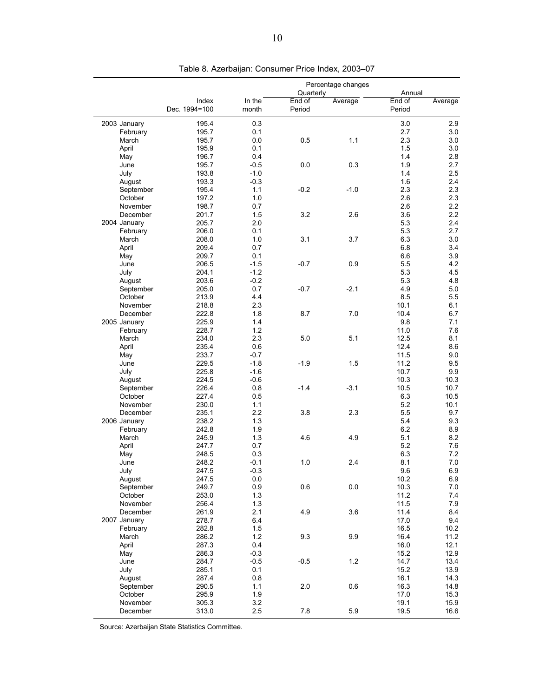|              |               | Percentage changes |           |         |        |         |  |
|--------------|---------------|--------------------|-----------|---------|--------|---------|--|
|              |               |                    | Quarterly |         | Annual |         |  |
|              | Index         | In the             | End of    | Average | End of | Average |  |
|              | Dec. 1994=100 | month              | Period    |         | Period |         |  |
| 2003 January | 195.4         | 0.3                |           |         | 3.0    | 2.9     |  |
| February     | 195.7         | 0.1                |           |         | 2.7    | 3.0     |  |
| March        | 195.7         | 0.0                | 0.5       | 1.1     | 2.3    | 3.0     |  |
| April        | 195.9         | 0.1                |           |         | 1.5    | 3.0     |  |
| May          | 196.7         | 0.4                |           |         | 1.4    | 2.8     |  |
| June         | 195.7         | $-0.5$             | 0.0       | 0.3     | 1.9    | 2.7     |  |
| July         | 193.8         | $-1.0$             |           |         | 1.4    | 2.5     |  |
| August       | 193.3         | $-0.3$             |           |         | 1.6    | 2.4     |  |
| September    | 195.4         | 1.1                | $-0.2$    | $-1.0$  | 2.3    | 2.3     |  |
| October      | 197.2         | 1.0                |           |         | 2.6    | 2.3     |  |
| November     | 198.7         | 0.7                |           |         | 2.6    | 2.2     |  |
| December     | 201.7         | 1.5                | 3.2       | 2.6     | 3.6    | 2.2     |  |
| 2004 January | 205.7         | 2.0                |           |         | 5.3    | 2.4     |  |
| February     | 206.0         | 0.1                |           |         | 5.3    | 2.7     |  |
| March        | 208.0         | 1.0                | 3.1       | 3.7     | 6.3    | 3.0     |  |
| April        | 209.4         | 0.7                |           |         | 6.8    | 3.4     |  |
| May          | 209.7         | 0.1                |           |         | 6.6    | 3.9     |  |
| June         | 206.5         | $-1.5$             | $-0.7$    | 0.9     | 5.5    | 4.2     |  |
| July         | 204.1         | $-1.2$             |           |         | 5.3    | 4.5     |  |
| August       | 203.6         | $-0.2$             |           |         | 5.3    | 4.8     |  |
| September    | 205.0         | 0.7                | $-0.7$    | $-2.1$  | 4.9    | 5.0     |  |
| October      | 213.9         | 4.4                |           |         | 8.5    | 5.5     |  |
| November     | 218.8         | 2.3                |           |         | 10.1   | 6.1     |  |
| December     | 222.8         | 1.8                | 8.7       | 7.0     | 10.4   | 6.7     |  |
| 2005 January | 225.9         | 1.4                |           |         | 9.8    | 7.1     |  |
| February     | 228.7         | 1.2                |           |         | 11.0   | 7.6     |  |
| March        | 234.0         | 2.3                | 5.0       | 5.1     | 12.5   | 8.1     |  |
| April        | 235.4         | 0.6                |           |         | 12.4   | 8.6     |  |
| May          | 233.7         | $-0.7$             |           |         | 11.5   | 9.0     |  |
| June         | 229.5         | $-1.8$             | $-1.9$    | 1.5     | 11.2   | 9.5     |  |
| July         | 225.8         | $-1.6$             |           |         | 10.7   | 9.9     |  |
| August       | 224.5         | $-0.6$             |           |         | 10.3   | 10.3    |  |
| September    | 226.4         | 0.8                | $-1.4$    | $-3.1$  | 10.5   | 10.7    |  |
| October      | 227.4         | 0.5                |           |         | 6.3    | 10.5    |  |
| November     | 230.0         | 1.1                |           |         | 5.2    | 10.1    |  |
| December     | 235.1         | 2.2                | 3.8       | 2.3     | 5.5    | 9.7     |  |
| 2006 January | 238.2         | 1.3                |           |         | 5.4    | 9.3     |  |
| February     | 242.8         | 1.9                |           |         | 6.2    | 8.9     |  |
| March        | 245.9         | 1.3                | 4.6       | 4.9     | 5.1    | 8.2     |  |
| April        | 247.7         | 0.7                |           |         | 5.2    | 7.6     |  |
| May          | 248.5         | 0.3                |           |         | 6.3    | 7.2     |  |
| June         | 248.2         | $-0.1$             | 1.0       | 2.4     | 8.1    | $7.0$   |  |
| July         | 247.5         | $-0.3$             |           |         | 9.6    | 6.9     |  |
| August       | 247.5         | 0.0                |           |         | 10.2   | 6.9     |  |
| September    | 249.7         | 0.9                | 0.6       | 0.0     | 10.3   | 7.0     |  |
| October      | 253.0         | 1.3                |           |         | 11.2   | 7.4     |  |
| November     | 256.4         | 1.3                |           |         | 11.5   | 7.9     |  |
| December     | 261.9         | 2.1                | 4.9       | 3.6     | 11.4   | 8.4     |  |
| 2007 January | 278.7         | 6.4                |           |         | 17.0   | 9.4     |  |
| February     | 282.8         | 1.5                |           |         | 16.5   | 10.2    |  |
| March        | 286.2         | 1.2                | 9.3       | 9.9     | 16.4   | 11.2    |  |
| April        | 287.3         | 0.4                |           |         | 16.0   | 12.1    |  |
|              | 286.3         | $-0.3$             |           |         | 15.2   | 12.9    |  |
| May          |               |                    |           |         |        |         |  |
| June         | 284.7         | $-0.5$             | $-0.5$    | 1.2     | 14.7   | 13.4    |  |
| July         | 285.1         | 0.1                |           |         | 15.2   | 13.9    |  |
| August       | 287.4         | 0.8                |           |         | 16.1   | 14.3    |  |
| September    | 290.5         | 1.1                | 2.0       | 0.6     | 16.3   | 14.8    |  |
| October      | 295.9         | 1.9                |           |         | 17.0   | 15.3    |  |
| November     | 305.3         | 3.2                |           |         | 19.1   | 15.9    |  |
| December     | 313.0         | 2.5                | 7.8       | 5.9     | 19.5   | 16.6    |  |

Table 8. Azerbaijan: Consumer Price Index, 2003–07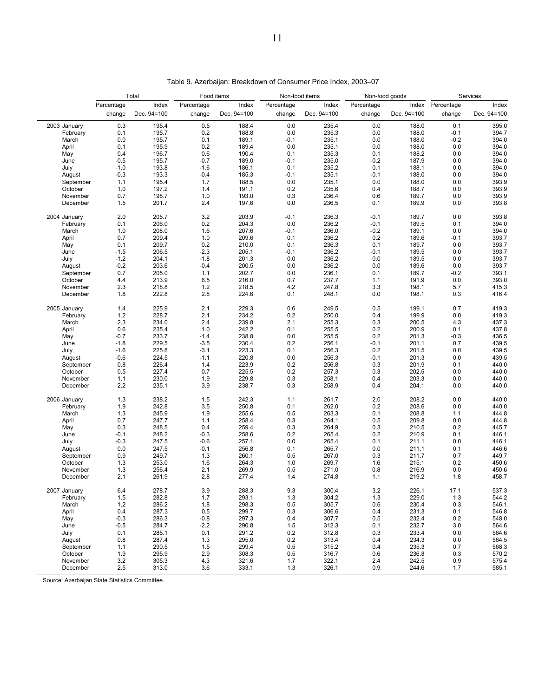| Percentage<br>Index<br>Index<br>Percentage<br>Index<br>Percentage<br>Percentage<br>Dec. 94=100<br>Dec. 94=100<br>Dec. 94=100<br>Dec. 94=100<br>change<br>change<br>change<br>change<br>0.3<br>195.4<br>0.5<br>188.4<br>0.0<br>235.4<br>0.0<br>188.0<br>2003 January<br>0.1<br>0.0<br>195.7<br>0.2<br>188.8<br>0.0<br>235.3<br>188.0<br>February<br>0.0<br>195.7<br>0.1<br>235.1<br>March<br>189.1<br>$-0.1$<br>0.0<br>188.0<br>0.1<br>195.9<br>0.2<br>189.4<br>235.1<br>0.0<br>188.0<br>April<br>0.0<br>0.4<br>0.6<br>190.4<br>May<br>196.7<br>0.1<br>235.3<br>0.1<br>188.2<br>$-0.7$<br>June<br>$-0.5$<br>195.7<br>189.0<br>$-0.1$<br>235.0<br>$-0.2$<br>187.9<br>193.8<br>235.2<br>July<br>$-1.0$<br>$-1.6$<br>186.1<br>0.1<br>0.1<br>188.1<br>193.3<br>185.3<br>$-0.3$<br>$-0.4$<br>235.1<br>$-0.1$<br>188.0<br>August<br>-0.1<br>195.4<br>September<br>1.1<br>1.7<br>188.5<br>0.0<br>235.1<br>0.0<br>188.0<br>1.0<br>197.2<br>191.1<br>235.6<br>October<br>1.4<br>0.2<br>0.4<br>188.7<br>0.7<br>193.0<br>November<br>198.7<br>1.0<br>0.3<br>236.4<br>0.6<br>189.7<br>2.4<br>236.5<br>December<br>1.5<br>201.7<br>197.6<br>0.0<br>0.1<br>189.9<br>2.0<br>205.7<br>3.2<br>203.9<br>$-0.1$<br>236.3<br>$-0.1$<br>2004 January<br>189.7<br>0.2<br>204.3<br>0.1<br>206.0<br>236.2<br>$-0.1$<br>February<br>0.0<br>189.5<br>207.6<br>March<br>1.0<br>208.0<br>1.6<br>$-0.1$<br>236.0<br>$-0.2$<br>189.1<br>0.7<br>209.4<br>1.0<br>209.6<br>236.2<br>April<br>0.1<br>0.2<br>189.6<br>209.7<br>0.2<br>210.0<br>236.3<br>May<br>0.1<br>0.1<br>0.1<br>189.7<br>June<br>$-1.5$<br>206.5<br>$-2.3$<br>205.1<br>$-0.1$<br>236.2<br>$-0.1$<br>189.5<br>$-1.2$<br>201.3<br>236.2<br>July<br>204.1<br>$-1.8$<br>0.0<br>0.0<br>189.5<br>$-0.2$<br>203.6<br>$-0.4$<br>200.5<br>236.2<br>0.0<br>0.0<br>189.6<br>August<br>202.7<br>September<br>0.7<br>205.0<br>1.1<br>0.0<br>236.1<br>0.1<br>189.7 | Index Percentage<br>change<br>0.1<br>$-0.1$<br>$-0.2$<br>0.0<br>0.0<br>0.0<br>0.0<br>0.0<br>0.0<br>0.0<br>0.0<br>0.0<br>0.0<br>0.1 | Index                                                                                           |
|--------------------------------------------------------------------------------------------------------------------------------------------------------------------------------------------------------------------------------------------------------------------------------------------------------------------------------------------------------------------------------------------------------------------------------------------------------------------------------------------------------------------------------------------------------------------------------------------------------------------------------------------------------------------------------------------------------------------------------------------------------------------------------------------------------------------------------------------------------------------------------------------------------------------------------------------------------------------------------------------------------------------------------------------------------------------------------------------------------------------------------------------------------------------------------------------------------------------------------------------------------------------------------------------------------------------------------------------------------------------------------------------------------------------------------------------------------------------------------------------------------------------------------------------------------------------------------------------------------------------------------------------------------------------------------------------------------------------------------------------------------------------------------------------------------------------------------------------------------------------------------------|------------------------------------------------------------------------------------------------------------------------------------|-------------------------------------------------------------------------------------------------|
|                                                                                                                                                                                                                                                                                                                                                                                                                                                                                                                                                                                                                                                                                                                                                                                                                                                                                                                                                                                                                                                                                                                                                                                                                                                                                                                                                                                                                                                                                                                                                                                                                                                                                                                                                                                                                                                                                      |                                                                                                                                    | Dec. 94=100<br>393.9<br>393.8                                                                   |
|                                                                                                                                                                                                                                                                                                                                                                                                                                                                                                                                                                                                                                                                                                                                                                                                                                                                                                                                                                                                                                                                                                                                                                                                                                                                                                                                                                                                                                                                                                                                                                                                                                                                                                                                                                                                                                                                                      |                                                                                                                                    | 395.0<br>394.7<br>394.0<br>394.0<br>394.0<br>394.0<br>394.0<br>394.0<br>393.9<br>393.9<br>393.8 |
|                                                                                                                                                                                                                                                                                                                                                                                                                                                                                                                                                                                                                                                                                                                                                                                                                                                                                                                                                                                                                                                                                                                                                                                                                                                                                                                                                                                                                                                                                                                                                                                                                                                                                                                                                                                                                                                                                      |                                                                                                                                    |                                                                                                 |
|                                                                                                                                                                                                                                                                                                                                                                                                                                                                                                                                                                                                                                                                                                                                                                                                                                                                                                                                                                                                                                                                                                                                                                                                                                                                                                                                                                                                                                                                                                                                                                                                                                                                                                                                                                                                                                                                                      |                                                                                                                                    |                                                                                                 |
|                                                                                                                                                                                                                                                                                                                                                                                                                                                                                                                                                                                                                                                                                                                                                                                                                                                                                                                                                                                                                                                                                                                                                                                                                                                                                                                                                                                                                                                                                                                                                                                                                                                                                                                                                                                                                                                                                      |                                                                                                                                    |                                                                                                 |
|                                                                                                                                                                                                                                                                                                                                                                                                                                                                                                                                                                                                                                                                                                                                                                                                                                                                                                                                                                                                                                                                                                                                                                                                                                                                                                                                                                                                                                                                                                                                                                                                                                                                                                                                                                                                                                                                                      |                                                                                                                                    |                                                                                                 |
|                                                                                                                                                                                                                                                                                                                                                                                                                                                                                                                                                                                                                                                                                                                                                                                                                                                                                                                                                                                                                                                                                                                                                                                                                                                                                                                                                                                                                                                                                                                                                                                                                                                                                                                                                                                                                                                                                      |                                                                                                                                    |                                                                                                 |
|                                                                                                                                                                                                                                                                                                                                                                                                                                                                                                                                                                                                                                                                                                                                                                                                                                                                                                                                                                                                                                                                                                                                                                                                                                                                                                                                                                                                                                                                                                                                                                                                                                                                                                                                                                                                                                                                                      |                                                                                                                                    |                                                                                                 |
|                                                                                                                                                                                                                                                                                                                                                                                                                                                                                                                                                                                                                                                                                                                                                                                                                                                                                                                                                                                                                                                                                                                                                                                                                                                                                                                                                                                                                                                                                                                                                                                                                                                                                                                                                                                                                                                                                      |                                                                                                                                    |                                                                                                 |
|                                                                                                                                                                                                                                                                                                                                                                                                                                                                                                                                                                                                                                                                                                                                                                                                                                                                                                                                                                                                                                                                                                                                                                                                                                                                                                                                                                                                                                                                                                                                                                                                                                                                                                                                                                                                                                                                                      |                                                                                                                                    |                                                                                                 |
|                                                                                                                                                                                                                                                                                                                                                                                                                                                                                                                                                                                                                                                                                                                                                                                                                                                                                                                                                                                                                                                                                                                                                                                                                                                                                                                                                                                                                                                                                                                                                                                                                                                                                                                                                                                                                                                                                      |                                                                                                                                    |                                                                                                 |
|                                                                                                                                                                                                                                                                                                                                                                                                                                                                                                                                                                                                                                                                                                                                                                                                                                                                                                                                                                                                                                                                                                                                                                                                                                                                                                                                                                                                                                                                                                                                                                                                                                                                                                                                                                                                                                                                                      |                                                                                                                                    |                                                                                                 |
|                                                                                                                                                                                                                                                                                                                                                                                                                                                                                                                                                                                                                                                                                                                                                                                                                                                                                                                                                                                                                                                                                                                                                                                                                                                                                                                                                                                                                                                                                                                                                                                                                                                                                                                                                                                                                                                                                      |                                                                                                                                    |                                                                                                 |
|                                                                                                                                                                                                                                                                                                                                                                                                                                                                                                                                                                                                                                                                                                                                                                                                                                                                                                                                                                                                                                                                                                                                                                                                                                                                                                                                                                                                                                                                                                                                                                                                                                                                                                                                                                                                                                                                                      |                                                                                                                                    |                                                                                                 |
|                                                                                                                                                                                                                                                                                                                                                                                                                                                                                                                                                                                                                                                                                                                                                                                                                                                                                                                                                                                                                                                                                                                                                                                                                                                                                                                                                                                                                                                                                                                                                                                                                                                                                                                                                                                                                                                                                      |                                                                                                                                    |                                                                                                 |
|                                                                                                                                                                                                                                                                                                                                                                                                                                                                                                                                                                                                                                                                                                                                                                                                                                                                                                                                                                                                                                                                                                                                                                                                                                                                                                                                                                                                                                                                                                                                                                                                                                                                                                                                                                                                                                                                                      |                                                                                                                                    | 394.0                                                                                           |
|                                                                                                                                                                                                                                                                                                                                                                                                                                                                                                                                                                                                                                                                                                                                                                                                                                                                                                                                                                                                                                                                                                                                                                                                                                                                                                                                                                                                                                                                                                                                                                                                                                                                                                                                                                                                                                                                                      | 0.0                                                                                                                                | 394.0                                                                                           |
|                                                                                                                                                                                                                                                                                                                                                                                                                                                                                                                                                                                                                                                                                                                                                                                                                                                                                                                                                                                                                                                                                                                                                                                                                                                                                                                                                                                                                                                                                                                                                                                                                                                                                                                                                                                                                                                                                      | $-0.1$                                                                                                                             | 393.7                                                                                           |
|                                                                                                                                                                                                                                                                                                                                                                                                                                                                                                                                                                                                                                                                                                                                                                                                                                                                                                                                                                                                                                                                                                                                                                                                                                                                                                                                                                                                                                                                                                                                                                                                                                                                                                                                                                                                                                                                                      | 0.0                                                                                                                                | 393.7                                                                                           |
|                                                                                                                                                                                                                                                                                                                                                                                                                                                                                                                                                                                                                                                                                                                                                                                                                                                                                                                                                                                                                                                                                                                                                                                                                                                                                                                                                                                                                                                                                                                                                                                                                                                                                                                                                                                                                                                                                      | 0.0                                                                                                                                | 393.7                                                                                           |
|                                                                                                                                                                                                                                                                                                                                                                                                                                                                                                                                                                                                                                                                                                                                                                                                                                                                                                                                                                                                                                                                                                                                                                                                                                                                                                                                                                                                                                                                                                                                                                                                                                                                                                                                                                                                                                                                                      | 0.0                                                                                                                                | 393.7                                                                                           |
|                                                                                                                                                                                                                                                                                                                                                                                                                                                                                                                                                                                                                                                                                                                                                                                                                                                                                                                                                                                                                                                                                                                                                                                                                                                                                                                                                                                                                                                                                                                                                                                                                                                                                                                                                                                                                                                                                      | 0.0                                                                                                                                | 393.7                                                                                           |
|                                                                                                                                                                                                                                                                                                                                                                                                                                                                                                                                                                                                                                                                                                                                                                                                                                                                                                                                                                                                                                                                                                                                                                                                                                                                                                                                                                                                                                                                                                                                                                                                                                                                                                                                                                                                                                                                                      | $-0.2$                                                                                                                             | 393.1                                                                                           |
| 6.5<br>October<br>4.4<br>213.9<br>216.0<br>0.7<br>237.7<br>1.1<br>191.9                                                                                                                                                                                                                                                                                                                                                                                                                                                                                                                                                                                                                                                                                                                                                                                                                                                                                                                                                                                                                                                                                                                                                                                                                                                                                                                                                                                                                                                                                                                                                                                                                                                                                                                                                                                                              | 0.0                                                                                                                                | 393.0                                                                                           |
| 2.3<br>218.8<br>$1.2$<br>218.5<br>4.2<br>247.8<br>3.3<br>November<br>198.1                                                                                                                                                                                                                                                                                                                                                                                                                                                                                                                                                                                                                                                                                                                                                                                                                                                                                                                                                                                                                                                                                                                                                                                                                                                                                                                                                                                                                                                                                                                                                                                                                                                                                                                                                                                                           | 5.7                                                                                                                                | 415.3                                                                                           |
| 2.8<br>December<br>1.8<br>222.8<br>224.6<br>248.1<br>0.0<br>198.1<br>0.1                                                                                                                                                                                                                                                                                                                                                                                                                                                                                                                                                                                                                                                                                                                                                                                                                                                                                                                                                                                                                                                                                                                                                                                                                                                                                                                                                                                                                                                                                                                                                                                                                                                                                                                                                                                                             | 0.3                                                                                                                                | 416.4                                                                                           |
|                                                                                                                                                                                                                                                                                                                                                                                                                                                                                                                                                                                                                                                                                                                                                                                                                                                                                                                                                                                                                                                                                                                                                                                                                                                                                                                                                                                                                                                                                                                                                                                                                                                                                                                                                                                                                                                                                      |                                                                                                                                    |                                                                                                 |
| 2.1<br>0.6<br>0.5<br>1.4<br>225.9<br>229.3<br>249.5<br>199.1<br>2005 January                                                                                                                                                                                                                                                                                                                                                                                                                                                                                                                                                                                                                                                                                                                                                                                                                                                                                                                                                                                                                                                                                                                                                                                                                                                                                                                                                                                                                                                                                                                                                                                                                                                                                                                                                                                                         | 0.7                                                                                                                                | 419.3                                                                                           |
| 1.2<br>228.7<br>2.1<br>234.2<br>0.2<br>250.0<br>199.9<br>February<br>0.4                                                                                                                                                                                                                                                                                                                                                                                                                                                                                                                                                                                                                                                                                                                                                                                                                                                                                                                                                                                                                                                                                                                                                                                                                                                                                                                                                                                                                                                                                                                                                                                                                                                                                                                                                                                                             | 0.0                                                                                                                                | 419.3                                                                                           |
| 2.3<br>2.4<br>239.8<br>March<br>234.0<br>2.1<br>255.3<br>0.3<br>200.5                                                                                                                                                                                                                                                                                                                                                                                                                                                                                                                                                                                                                                                                                                                                                                                                                                                                                                                                                                                                                                                                                                                                                                                                                                                                                                                                                                                                                                                                                                                                                                                                                                                                                                                                                                                                                | 4.3                                                                                                                                | 437.3                                                                                           |
| 1.0<br>242.2<br>255.5<br>0.2<br>April<br>0.6<br>235.4<br>0.1<br>200.9                                                                                                                                                                                                                                                                                                                                                                                                                                                                                                                                                                                                                                                                                                                                                                                                                                                                                                                                                                                                                                                                                                                                                                                                                                                                                                                                                                                                                                                                                                                                                                                                                                                                                                                                                                                                                | 0.1                                                                                                                                | 437.8                                                                                           |
| May<br>$-0.7$<br>233.7<br>$-1.4$<br>238.8<br>0.0<br>255.5<br>0.2<br>201.3                                                                                                                                                                                                                                                                                                                                                                                                                                                                                                                                                                                                                                                                                                                                                                                                                                                                                                                                                                                                                                                                                                                                                                                                                                                                                                                                                                                                                                                                                                                                                                                                                                                                                                                                                                                                            | $-0.3$                                                                                                                             | 436.5                                                                                           |
| 230.4<br>June<br>$-1.8$<br>229.5<br>$-3.5$<br>0.2<br>256.1<br>$-0.1$<br>201.1                                                                                                                                                                                                                                                                                                                                                                                                                                                                                                                                                                                                                                                                                                                                                                                                                                                                                                                                                                                                                                                                                                                                                                                                                                                                                                                                                                                                                                                                                                                                                                                                                                                                                                                                                                                                        | 0.7                                                                                                                                | 439.5                                                                                           |
| $-1.6$<br>225.8<br>$-3.1$<br>223.3<br>256.3<br>201.5<br>July<br>0.1<br>0.2                                                                                                                                                                                                                                                                                                                                                                                                                                                                                                                                                                                                                                                                                                                                                                                                                                                                                                                                                                                                                                                                                                                                                                                                                                                                                                                                                                                                                                                                                                                                                                                                                                                                                                                                                                                                           | 0.0                                                                                                                                | 439.5                                                                                           |
| $-0.6$<br>224.5<br>$-1.1$<br>220.8<br>0.0<br>256.3<br>$-0.1$<br>201.3<br>August                                                                                                                                                                                                                                                                                                                                                                                                                                                                                                                                                                                                                                                                                                                                                                                                                                                                                                                                                                                                                                                                                                                                                                                                                                                                                                                                                                                                                                                                                                                                                                                                                                                                                                                                                                                                      | 0.0                                                                                                                                | 439.5                                                                                           |
| 223.9<br>0.2<br>September<br>0.8<br>226.4<br>1.4<br>256.8<br>0.3<br>201.9                                                                                                                                                                                                                                                                                                                                                                                                                                                                                                                                                                                                                                                                                                                                                                                                                                                                                                                                                                                                                                                                                                                                                                                                                                                                                                                                                                                                                                                                                                                                                                                                                                                                                                                                                                                                            | 0.1                                                                                                                                | 440.0                                                                                           |
| October<br>227.4<br>0.7<br>225.5<br>0.2<br>257.3<br>202.5<br>0.5<br>0.3                                                                                                                                                                                                                                                                                                                                                                                                                                                                                                                                                                                                                                                                                                                                                                                                                                                                                                                                                                                                                                                                                                                                                                                                                                                                                                                                                                                                                                                                                                                                                                                                                                                                                                                                                                                                              | 0.0                                                                                                                                | 440.0                                                                                           |
| 1.9<br>229.8<br>November<br>1.1<br>230.0<br>0.3<br>258.1<br>0.4<br>203.3                                                                                                                                                                                                                                                                                                                                                                                                                                                                                                                                                                                                                                                                                                                                                                                                                                                                                                                                                                                                                                                                                                                                                                                                                                                                                                                                                                                                                                                                                                                                                                                                                                                                                                                                                                                                             | 0.0                                                                                                                                | 440.0                                                                                           |
| 3.9<br>238.7<br>December<br>2.2<br>235.1<br>0.3<br>258.9<br>0.4<br>204.1                                                                                                                                                                                                                                                                                                                                                                                                                                                                                                                                                                                                                                                                                                                                                                                                                                                                                                                                                                                                                                                                                                                                                                                                                                                                                                                                                                                                                                                                                                                                                                                                                                                                                                                                                                                                             | 0.0                                                                                                                                | 440.0                                                                                           |
| 238.2<br>242.3<br>1.3<br>1.5<br>1.1<br>261.7<br>2.0<br>208.2<br>2006 January                                                                                                                                                                                                                                                                                                                                                                                                                                                                                                                                                                                                                                                                                                                                                                                                                                                                                                                                                                                                                                                                                                                                                                                                                                                                                                                                                                                                                                                                                                                                                                                                                                                                                                                                                                                                         | 0.0                                                                                                                                | 440.0                                                                                           |
| 1.9<br>242.8<br>3.5<br>250.8<br>262.0<br>0.2<br>208.6<br>February<br>0.1                                                                                                                                                                                                                                                                                                                                                                                                                                                                                                                                                                                                                                                                                                                                                                                                                                                                                                                                                                                                                                                                                                                                                                                                                                                                                                                                                                                                                                                                                                                                                                                                                                                                                                                                                                                                             | 0.0                                                                                                                                | 440.0                                                                                           |
| 1.3<br>245.9<br>1.9<br>255.6<br>0.5<br>263.3<br>March<br>0.1<br>208.8                                                                                                                                                                                                                                                                                                                                                                                                                                                                                                                                                                                                                                                                                                                                                                                                                                                                                                                                                                                                                                                                                                                                                                                                                                                                                                                                                                                                                                                                                                                                                                                                                                                                                                                                                                                                                | 1.1                                                                                                                                | 444.8                                                                                           |
| 0.7<br>258.4<br>April<br>247.7<br>1.1<br>0.3<br>264.1<br>0.5<br>209.8                                                                                                                                                                                                                                                                                                                                                                                                                                                                                                                                                                                                                                                                                                                                                                                                                                                                                                                                                                                                                                                                                                                                                                                                                                                                                                                                                                                                                                                                                                                                                                                                                                                                                                                                                                                                                | 0.0                                                                                                                                | 444.8                                                                                           |
| 0.4<br>259.4<br>264.9<br>0.3<br>May<br>0.3<br>248.5<br>0.3<br>210.5                                                                                                                                                                                                                                                                                                                                                                                                                                                                                                                                                                                                                                                                                                                                                                                                                                                                                                                                                                                                                                                                                                                                                                                                                                                                                                                                                                                                                                                                                                                                                                                                                                                                                                                                                                                                                  | 0.2                                                                                                                                | 445.7                                                                                           |
| $-0.3$<br>258.6<br>0.2<br>June<br>$-0.1$<br>248.2<br>0.2<br>265.4<br>210.9                                                                                                                                                                                                                                                                                                                                                                                                                                                                                                                                                                                                                                                                                                                                                                                                                                                                                                                                                                                                                                                                                                                                                                                                                                                                                                                                                                                                                                                                                                                                                                                                                                                                                                                                                                                                           | 0.1                                                                                                                                | 446.1                                                                                           |
|                                                                                                                                                                                                                                                                                                                                                                                                                                                                                                                                                                                                                                                                                                                                                                                                                                                                                                                                                                                                                                                                                                                                                                                                                                                                                                                                                                                                                                                                                                                                                                                                                                                                                                                                                                                                                                                                                      |                                                                                                                                    |                                                                                                 |
| $-0.6$<br>July<br>$-0.3$<br>247.5<br>257.1<br>0.0<br>265.4<br>0.1<br>211.1                                                                                                                                                                                                                                                                                                                                                                                                                                                                                                                                                                                                                                                                                                                                                                                                                                                                                                                                                                                                                                                                                                                                                                                                                                                                                                                                                                                                                                                                                                                                                                                                                                                                                                                                                                                                           | 0.0                                                                                                                                | 446.1<br>446.6                                                                                  |
| 256.8<br>0.0<br>247.5<br>$-0.1$<br>0.1<br>265.7<br>0.0<br>211.1<br>August                                                                                                                                                                                                                                                                                                                                                                                                                                                                                                                                                                                                                                                                                                                                                                                                                                                                                                                                                                                                                                                                                                                                                                                                                                                                                                                                                                                                                                                                                                                                                                                                                                                                                                                                                                                                            | 0.1                                                                                                                                |                                                                                                 |
| 0.9<br>260.1<br>September<br>249.7<br>1.3<br>0.5<br>267.0<br>0.3<br>211.7                                                                                                                                                                                                                                                                                                                                                                                                                                                                                                                                                                                                                                                                                                                                                                                                                                                                                                                                                                                                                                                                                                                                                                                                                                                                                                                                                                                                                                                                                                                                                                                                                                                                                                                                                                                                            | 0.7                                                                                                                                | 449.7                                                                                           |
| October<br>1.3<br>253.0<br>1.6<br>264.3<br>1.0<br>269.7<br>1.6<br>215.1                                                                                                                                                                                                                                                                                                                                                                                                                                                                                                                                                                                                                                                                                                                                                                                                                                                                                                                                                                                                                                                                                                                                                                                                                                                                                                                                                                                                                                                                                                                                                                                                                                                                                                                                                                                                              | 0.2                                                                                                                                | 450.6                                                                                           |
| 256.4<br>2.1<br>269.9<br>0.5<br>271.0<br>November<br>1.3<br>0.8<br>216.9<br>2.1<br>261.9<br>2.8<br>277.4<br>274.8<br>219.2<br>December<br>1.4<br>1.1                                                                                                                                                                                                                                                                                                                                                                                                                                                                                                                                                                                                                                                                                                                                                                                                                                                                                                                                                                                                                                                                                                                                                                                                                                                                                                                                                                                                                                                                                                                                                                                                                                                                                                                                 | 0.0<br>1.8                                                                                                                         | 450.6<br>458.7                                                                                  |
|                                                                                                                                                                                                                                                                                                                                                                                                                                                                                                                                                                                                                                                                                                                                                                                                                                                                                                                                                                                                                                                                                                                                                                                                                                                                                                                                                                                                                                                                                                                                                                                                                                                                                                                                                                                                                                                                                      |                                                                                                                                    |                                                                                                 |
| 6.4<br>278.7<br>3.9<br>288.3<br>9.3<br>300.4<br>3.2<br>226.1<br>2007 January                                                                                                                                                                                                                                                                                                                                                                                                                                                                                                                                                                                                                                                                                                                                                                                                                                                                                                                                                                                                                                                                                                                                                                                                                                                                                                                                                                                                                                                                                                                                                                                                                                                                                                                                                                                                         | 17.1                                                                                                                               | 537.3                                                                                           |
| 293.1<br>229.0<br>1.5<br>282.8<br>1.7<br>1.3<br>304.2<br>1.3<br>February                                                                                                                                                                                                                                                                                                                                                                                                                                                                                                                                                                                                                                                                                                                                                                                                                                                                                                                                                                                                                                                                                                                                                                                                                                                                                                                                                                                                                                                                                                                                                                                                                                                                                                                                                                                                             | 1.3                                                                                                                                | 544.2                                                                                           |
| 230.4<br>1.2<br>286.2<br>298.3<br>0.5<br>305.7<br>0.6<br>March<br>1.8                                                                                                                                                                                                                                                                                                                                                                                                                                                                                                                                                                                                                                                                                                                                                                                                                                                                                                                                                                                                                                                                                                                                                                                                                                                                                                                                                                                                                                                                                                                                                                                                                                                                                                                                                                                                                | 0.3                                                                                                                                | 546.1                                                                                           |
| 287.3<br>306.6<br>0.4<br>0.5<br>299.7<br>0.3<br>0.4<br>231.3<br>April                                                                                                                                                                                                                                                                                                                                                                                                                                                                                                                                                                                                                                                                                                                                                                                                                                                                                                                                                                                                                                                                                                                                                                                                                                                                                                                                                                                                                                                                                                                                                                                                                                                                                                                                                                                                                | 0.1                                                                                                                                | 546.8                                                                                           |
| $-0.3$<br>286.3<br>$-0.8$<br>297.3<br>0.4<br>307.7<br>0.5<br>232.4<br>May                                                                                                                                                                                                                                                                                                                                                                                                                                                                                                                                                                                                                                                                                                                                                                                                                                                                                                                                                                                                                                                                                                                                                                                                                                                                                                                                                                                                                                                                                                                                                                                                                                                                                                                                                                                                            | 0.2                                                                                                                                | 548.0                                                                                           |
| $-0.5$<br>284.7<br>$-2.2$<br>290.8<br>312.3<br>0.1<br>232.7<br>June<br>1.5                                                                                                                                                                                                                                                                                                                                                                                                                                                                                                                                                                                                                                                                                                                                                                                                                                                                                                                                                                                                                                                                                                                                                                                                                                                                                                                                                                                                                                                                                                                                                                                                                                                                                                                                                                                                           | 3.0                                                                                                                                | 564.6                                                                                           |
| 285.1<br>312.8<br>233.4<br>0.1<br>0.1<br>291.2<br>0.2<br>0.3<br>July                                                                                                                                                                                                                                                                                                                                                                                                                                                                                                                                                                                                                                                                                                                                                                                                                                                                                                                                                                                                                                                                                                                                                                                                                                                                                                                                                                                                                                                                                                                                                                                                                                                                                                                                                                                                                 | 0.0                                                                                                                                | 564.6                                                                                           |
| 0.8<br>287.4<br>1.3<br>295.0<br>0.2<br>313.4<br>0.4<br>234.3<br>August                                                                                                                                                                                                                                                                                                                                                                                                                                                                                                                                                                                                                                                                                                                                                                                                                                                                                                                                                                                                                                                                                                                                                                                                                                                                                                                                                                                                                                                                                                                                                                                                                                                                                                                                                                                                               | 0.0                                                                                                                                | 564.5                                                                                           |
| September<br>290.5<br>299.4<br>0.5<br>315.2<br>0.4<br>235.3<br>1.1<br>1.5                                                                                                                                                                                                                                                                                                                                                                                                                                                                                                                                                                                                                                                                                                                                                                                                                                                                                                                                                                                                                                                                                                                                                                                                                                                                                                                                                                                                                                                                                                                                                                                                                                                                                                                                                                                                            | 0.7                                                                                                                                | 568.3                                                                                           |
| 295.9<br>2.9<br>236.8<br>October<br>1.9<br>308.3<br>0.5<br>316.7<br>0.6                                                                                                                                                                                                                                                                                                                                                                                                                                                                                                                                                                                                                                                                                                                                                                                                                                                                                                                                                                                                                                                                                                                                                                                                                                                                                                                                                                                                                                                                                                                                                                                                                                                                                                                                                                                                              | 0.3                                                                                                                                | 570.2                                                                                           |
| November<br>3.2<br>305.3<br>4.3<br>321.6<br>322.1<br>2.4<br>242.5<br>1.7                                                                                                                                                                                                                                                                                                                                                                                                                                                                                                                                                                                                                                                                                                                                                                                                                                                                                                                                                                                                                                                                                                                                                                                                                                                                                                                                                                                                                                                                                                                                                                                                                                                                                                                                                                                                             | 0.9                                                                                                                                |                                                                                                 |
| December<br>2.5<br>313.0<br>3.6<br>333.1<br>1.3<br>326.1<br>0.9<br>244.6                                                                                                                                                                                                                                                                                                                                                                                                                                                                                                                                                                                                                                                                                                                                                                                                                                                                                                                                                                                                                                                                                                                                                                                                                                                                                                                                                                                                                                                                                                                                                                                                                                                                                                                                                                                                             |                                                                                                                                    | 575.4                                                                                           |

Table 9. Azerbaijan: Breakdown of Consumer Price Index, 2003–07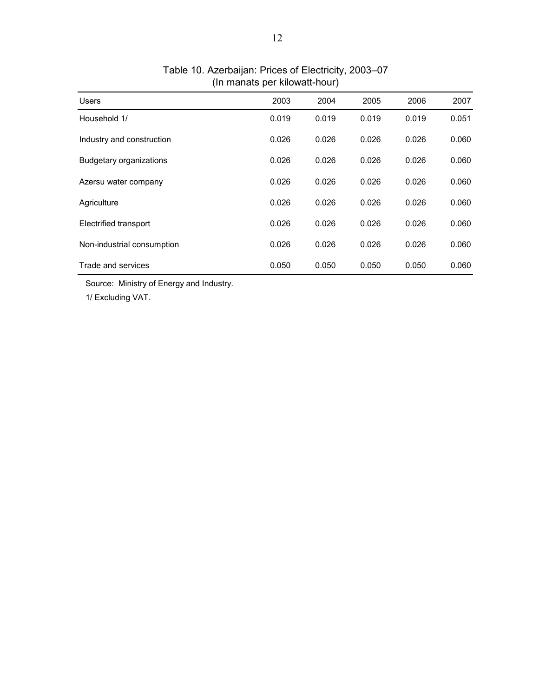| <b>Users</b>                   | 2003  | 2004  | 2005  | 2006  | 2007  |
|--------------------------------|-------|-------|-------|-------|-------|
| Household 1/                   | 0.019 | 0.019 | 0.019 | 0.019 | 0.051 |
| Industry and construction      | 0.026 | 0.026 | 0.026 | 0.026 | 0.060 |
| <b>Budgetary organizations</b> | 0.026 | 0.026 | 0.026 | 0.026 | 0.060 |
| Azersu water company           | 0.026 | 0.026 | 0.026 | 0.026 | 0.060 |
| Agriculture                    | 0.026 | 0.026 | 0.026 | 0.026 | 0.060 |
| Electrified transport          | 0.026 | 0.026 | 0.026 | 0.026 | 0.060 |
| Non-industrial consumption     | 0.026 | 0.026 | 0.026 | 0.026 | 0.060 |
| Trade and services             | 0.050 | 0.050 | 0.050 | 0.050 | 0.060 |

### (In manats per kilowatt-hour) Table 10. Azerbaijan: Prices of Electricity, 2003–07

Source: Ministry of Energy and Industry.

1/ Excluding VAT.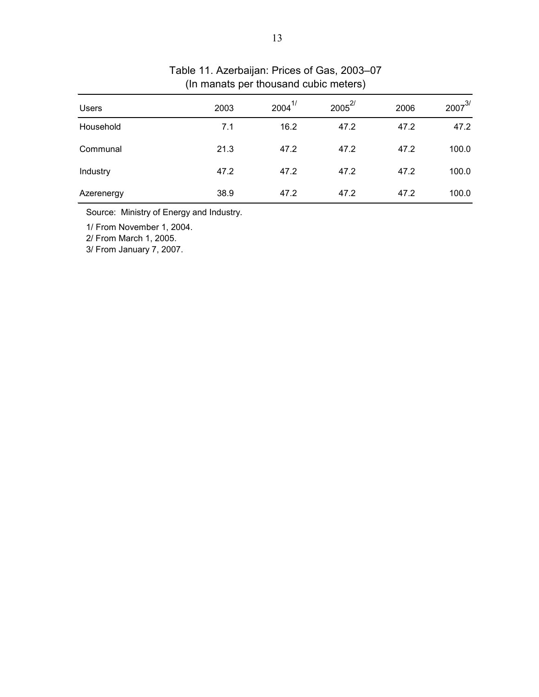| <b>Users</b> | 2003 | $2004^{1/2}$ | $2005^{2/}$ | 2006 | $2007^{3/}$ |
|--------------|------|--------------|-------------|------|-------------|
| Household    | 7.1  | 16.2         | 47.2        | 47.2 | 47.2        |
| Communal     | 21.3 | 47.2         | 47.2        | 47.2 | 100.0       |
| Industry     | 47.2 | 47.2         | 47.2        | 47.2 | 100.0       |
| Azerenergy   | 38.9 | 47.2         | 47.2        | 47.2 | 100.0       |

# (In manats per thousand cubic meters) Table 11. Azerbaijan: Prices of Gas, 2003–07

Source: Ministry of Energy and Industry.

1/ From November 1, 2004.

2/ From March 1, 2005.

3/ From January 7, 2007.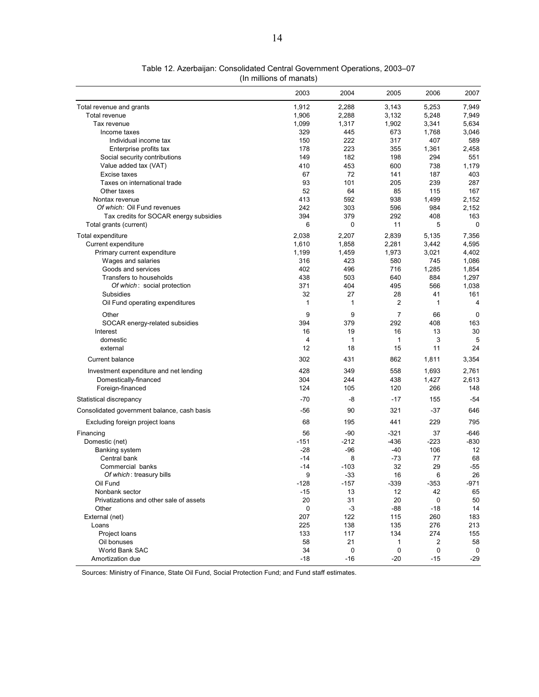|                                             | 2003   | 2004        | 2005           | 2006   | 2007   |
|---------------------------------------------|--------|-------------|----------------|--------|--------|
| Total revenue and grants                    | 1,912  | 2,288       | 3,143          | 5,253  | 7,949  |
| Total revenue                               | 1,906  | 2,288       | 3,132          | 5,248  | 7,949  |
| Tax revenue                                 | 1,099  | 1,317       | 1,902          | 3,341  | 5,634  |
| Income taxes                                | 329    | 445         | 673            | 1,768  | 3,046  |
| Individual income tax                       | 150    | 222         | 317            | 407    | 589    |
| Enterprise profits tax                      | 178    | 223         | 355            | 1,361  | 2,458  |
| Social security contributions               | 149    | 182         | 198            | 294    | 551    |
| Value added tax (VAT)                       | 410    | 453         | 600            | 738    | 1,179  |
| Excise taxes                                | 67     | 72          | 141            | 187    | 403    |
| Taxes on international trade                | 93     | 101         | 205            | 239    | 287    |
| Other taxes                                 | 52     | 64          | 85             | 115    | 167    |
| Nontax revenue                              | 413    | 592         | 938            | 1,499  | 2,152  |
| Of which: Oil Fund revenues                 | 242    | 303         | 596            | 984    | 2,152  |
| Tax credits for SOCAR energy subsidies      | 394    | 379         | 292            | 408    | 163    |
| Total grants (current)                      | 6      | 0           | 11             | 5      | 0      |
| Total expenditure                           | 2,038  | 2,207       | 2,839          | 5,135  | 7,356  |
| Current expenditure                         | 1,610  | 1,858       | 2,281          | 3,442  | 4,595  |
| Primary current expenditure                 | 1,199  | 1,459       | 1,973          | 3,021  | 4,402  |
| Wages and salaries                          | 316    | 423         | 580            | 745    | 1,086  |
| Goods and services                          | 402    | 496         | 716            | 1,285  | 1,854  |
| Transfers to households                     | 438    | 503         | 640            | 884    | 1,297  |
| Of which: social protection                 | 371    | 404         | 495            | 566    | 1,038  |
| Subsidies                                   | 32     | 27          | 28             | 41     | 161    |
| Oil Fund operating expenditures             | 1      | 1           | $\overline{2}$ | 1      | 4      |
| Other                                       | 9      | 9           | $\overline{7}$ | 66     | 0      |
| SOCAR energy-related subsidies              | 394    | 379         | 292            | 408    | 163    |
| Interest                                    | 16     | 19          | 16             | 13     | 30     |
| domestic                                    | 4      | 1           | $\mathbf 1$    | 3      | 5      |
| external                                    | 12     | 18          | 15             | 11     | 24     |
| Current balance                             | 302    | 431         | 862            | 1,811  | 3,354  |
| Investment expenditure and net lending      | 428    | 349         | 558            | 1,693  | 2,761  |
| Domestically-financed                       | 304    | 244         | 438            | 1,427  | 2,613  |
| Foreign-financed                            | 124    | 105         | 120            | 266    | 148    |
| Statistical discrepancy                     | -70    | -8          | $-17$          | 155    | $-54$  |
| Consolidated government balance, cash basis | -56    | 90          | 321            | $-37$  | 646    |
| Excluding foreign project loans             | 68     | 195         | 441            | 229    | 795    |
| Financing                                   | 56     | $-90$       | $-321$         | 37     | $-646$ |
| Domestic (net)                              | $-151$ | $-212$      | $-436$         | $-223$ | $-830$ |
| <b>Banking system</b>                       | $-28$  | $-96$       | $-40$          | 106    | 12     |
| Central bank                                | $-14$  | 8           | $-73$          | 77     | 68     |
| Commercial banks                            | $-14$  | $-103$      | 32             | 29     | -55    |
| Of which: treasury bills                    | 9      | $-33$       | 16             | 6      | 26     |
| Oil Fund                                    | $-128$ | $-157$      | $-339$         | $-353$ | $-971$ |
| Nonbank sector                              | -15    | 13          | 12             | 42     | 65     |
| Privatizations and other sale of assets     | 20     | 31          | 20             | 0      | 50     |
| Other                                       | 0      | $-3$        | $-88$          | -18    | 14     |
| External (net)                              | 207    | 122         | 115            | 260    | 183    |
| Loans                                       | 225    | 138         | 135            | 276    | 213    |
| Project loans                               | 133    | 117         | 134            | 274    | 155    |
| Oil bonuses                                 | 58     | 21          | 1              | 2      | 58     |
| World Bank SAC                              | 34     | $\mathsf 0$ | 0              | 0      | 0      |
| Amortization due                            | $-18$  | $-16$       | $-20$          | $-15$  | $-29$  |

Table 12. Azerbaijan: Consolidated Central Government Operations, 2003–07 (In millions of manats)

Sources: Ministry of Finance, State Oil Fund, Social Protection Fund; and Fund staff estimates.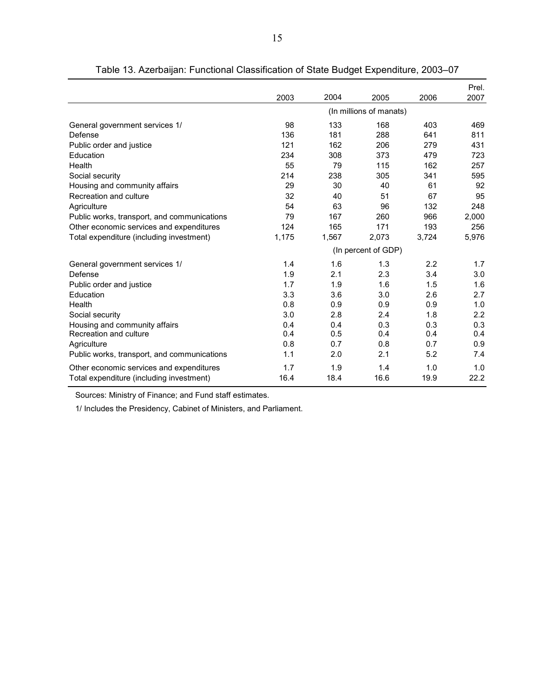|                                             |                     |       |                         |       | Prel. |  |  |
|---------------------------------------------|---------------------|-------|-------------------------|-------|-------|--|--|
|                                             | 2003                | 2004  | 2005                    | 2006  | 2007  |  |  |
|                                             |                     |       | (In millions of manats) |       |       |  |  |
| General government services 1/              | 98                  | 133   | 168                     | 403   | 469   |  |  |
| Defense                                     | 136                 | 181   | 288                     | 641   | 811   |  |  |
| Public order and justice                    | 121                 | 162   | 206                     | 279   | 431   |  |  |
| Education                                   | 234                 | 308   | 373                     | 479   | 723   |  |  |
| Health                                      | 55                  | 79    | 115                     | 162   | 257   |  |  |
| Social security                             | 214                 | 238   | 305                     | 341   | 595   |  |  |
| Housing and community affairs               | 29                  | 30    | 40                      | 61    | 92    |  |  |
| Recreation and culture                      | 32                  | 40    | 51                      | 67    | 95    |  |  |
| Agriculture                                 | 54                  | 63    | 96                      | 132   | 248   |  |  |
| Public works, transport, and communications | 79                  | 167   | 260                     | 966   | 2,000 |  |  |
| Other economic services and expenditures    | 124                 | 165   | 171                     | 193   | 256   |  |  |
| Total expenditure (including investment)    | 1,175               | 1,567 | 2,073                   | 3,724 | 5,976 |  |  |
|                                             | (In percent of GDP) |       |                         |       |       |  |  |
| General government services 1/              | 1.4                 | 1.6   | 1.3                     | 2.2   | 1.7   |  |  |
| Defense                                     | 1.9                 | 2.1   | 2.3                     | 3.4   | 3.0   |  |  |
| Public order and justice                    | 1.7                 | 1.9   | 1.6                     | 1.5   | 1.6   |  |  |
| Education                                   | 3.3                 | 3.6   | 3.0                     | 2.6   | 2.7   |  |  |
| Health                                      | 0.8                 | 0.9   | 0.9                     | 0.9   | 1.0   |  |  |
| Social security                             | 3.0                 | 2.8   | 2.4                     | 1.8   | 2.2   |  |  |
| Housing and community affairs               | 0.4                 | 0.4   | 0.3                     | 0.3   | 0.3   |  |  |
| Recreation and culture                      | 0.4                 | 0.5   | 0.4                     | 0.4   | 0.4   |  |  |
| Agriculture                                 | 0.8                 | 0.7   | 0.8                     | 0.7   | 0.9   |  |  |
| Public works, transport, and communications | 1.1                 | 2.0   | 2.1                     | 5.2   | 7.4   |  |  |
| Other economic services and expenditures    | 1.7                 | 1.9   | 1.4                     | 1.0   | 1.0   |  |  |
| Total expenditure (including investment)    | 16.4                | 18.4  | 16.6                    | 19.9  | 22.2  |  |  |

Table 13. Azerbaijan: Functional Classification of State Budget Expenditure, 2003–07

Sources: Ministry of Finance; and Fund staff estimates.

1/ Includes the Presidency, Cabinet of Ministers, and Parliament.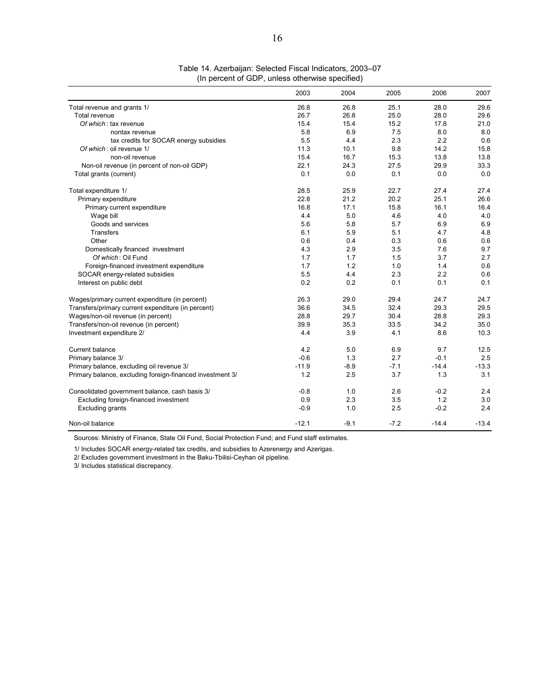|                                                           | 2003    | 2004   | 2005   | 2006    | 2007    |
|-----------------------------------------------------------|---------|--------|--------|---------|---------|
| Total revenue and grants 1/                               | 26.8    | 26.8   | 25.1   | 28.0    | 29.6    |
| Total revenue                                             | 26.7    | 26.8   | 25.0   | 28.0    | 29.6    |
| Of which: tax revenue                                     | 15.4    | 15.4   | 15.2   | 17.8    | 21.0    |
| nontax revenue                                            | 5.8     | 6.9    | 7.5    | 8.0     | 8.0     |
| tax credits for SOCAR energy subsidies                    | 5.5     | 4.4    | 2.3    | 2.2     | 0.6     |
| Of which: oil revenue 1/                                  | 11.3    | 10.1   | 9.8    | 14.2    | 15.8    |
| non-oil revenue                                           | 15.4    | 16.7   | 15.3   | 13.8    | 13.8    |
| Non-oil revenue (in percent of non-oil GDP)               | 22.1    | 24.3   | 27.5   | 29.9    | 33.3    |
| Total grants (current)                                    | 0.1     | 0.0    | 0.1    | 0.0     | 0.0     |
| Total expenditure 1/                                      | 28.5    | 25.9   | 22.7   | 27.4    | 27.4    |
| Primary expenditure                                       | 22.8    | 21.2   | 20.2   | 25.1    | 26.6    |
| Primary current expenditure                               | 16.8    | 17.1   | 15.8   | 16.1    | 16.4    |
| Wage bill                                                 | 4.4     | 5.0    | 4.6    | 4.0     | 4.0     |
| Goods and services                                        | 5.6     | 5.8    | 5.7    | 6.9     | 6.9     |
| <b>Transfers</b>                                          | 6.1     | 5.9    | 5.1    | 4.7     | 4.8     |
| Other                                                     | 0.6     | 0.4    | 0.3    | 0.6     | 0.6     |
| Domestically financed investment                          | 4.3     | 2.9    | 3.5    | 7.6     | 9.7     |
| Of which: Oil Fund                                        | 1.7     | 1.7    | 1.5    | 3.7     | 2.7     |
| Foreign-financed investment expenditure                   | 1.7     | 1.2    | 1.0    | 1.4     | 0.6     |
| SOCAR energy-related subsidies                            | 5.5     | 4.4    | 2.3    | 2.2     | 0.6     |
| Interest on public debt                                   | 0.2     | 0.2    | 0.1    | 0.1     | 0.1     |
| Wages/primary current expenditure (in percent)            | 26.3    | 29.0   | 29.4   | 24.7    | 24.7    |
| Transfers/primary current expenditure (in percent)        | 36.6    | 34.5   | 32.4   | 29.3    | 29.5    |
| Wages/non-oil revenue (in percent)                        | 28.8    | 29.7   | 30.4   | 28.8    | 29.3    |
| Transfers/non-oil revenue (in percent)                    | 39.9    | 35.3   | 33.5   | 34.2    | 35.0    |
| Investment expenditure 2/                                 | 4.4     | 3.9    | 4.1    | 8.6     | 10.3    |
| Current balance                                           | 4.2     | 5.0    | 6.9    | 9.7     | 12.5    |
| Primary balance 3/                                        | $-0.6$  | 1.3    | 2.7    | $-0.1$  | 2.5     |
| Primary balance, excluding oil revenue 3/                 | $-11.9$ | $-8.9$ | $-7.1$ | $-14.4$ | $-13.3$ |
| Primary balance, excluding foreign-financed investment 3/ | 1.2     | 2.5    | 3.7    | 1.3     | 3.1     |
| Consolidated government balance, cash basis 3/            | $-0.8$  | 1.0    | 2.6    | $-0.2$  | 2.4     |
| Excluding foreign-financed investment                     | 0.9     | 2.3    | 3.5    | 1.2     | 3.0     |
| <b>Excluding grants</b>                                   | $-0.9$  | 1.0    | 2.5    | $-0.2$  | 2.4     |
| Non-oil balance                                           | $-12.1$ | $-9.1$ | $-7.2$ | $-14.4$ | $-13.4$ |

#### Table 14. Azerbaijan: Selected Fiscal Indicators, 2003–07 (In percent of GDP, unless otherwise specified)

Sources: Ministry of Finance, State Oil Fund, Social Protection Fund; and Fund staff estimates.

1/ Includes SOCAR energy-related tax credits, and subsidies to Azerenergy and Azerigas.

2/ Excludes government investment in the Baku-Tbilisi-Ceyhan oil pipeline.

3/ Includes statistical discrepancy.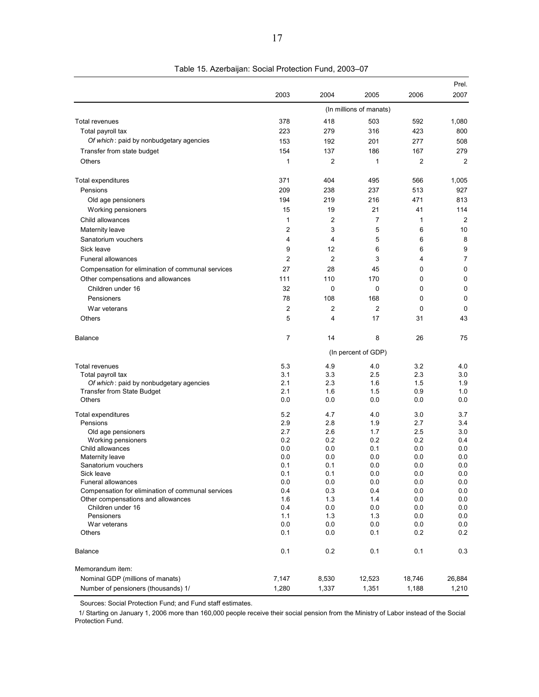|                                                   |                |                |                         |                | Prel.          |
|---------------------------------------------------|----------------|----------------|-------------------------|----------------|----------------|
|                                                   | 2003           | 2004           | 2005                    | 2006           | 2007           |
|                                                   |                |                | (In millions of manats) |                |                |
| <b>Total revenues</b>                             | 378            | 418            | 503                     | 592            | 1,080          |
| Total payroll tax                                 | 223            | 279            | 316                     | 423            | 800            |
| Of which: paid by nonbudgetary agencies           | 153            | 192            | 201                     | 277            | 508            |
| Transfer from state budget                        | 154            | 137            | 186                     | 167            | 279            |
| Others                                            | 1              | $\overline{2}$ | 1                       | $\overline{2}$ | $\overline{2}$ |
| Total expenditures                                | 371            | 404            | 495                     | 566            | 1,005          |
| Pensions                                          | 209            | 238            | 237                     | 513            | 927            |
| Old age pensioners                                | 194            | 219            | 216                     | 471            | 813            |
| Working pensioners                                | 15             | 19             | 21                      | 41             | 114            |
| Child allowances                                  | 1              | $\overline{2}$ | 7                       | 1              | $\overline{2}$ |
| <b>Maternity leave</b>                            | 2              | 3              | 5                       | 6              | 10             |
| Sanatorium vouchers                               | 4              | 4              | 5                       | 6              | 8              |
| Sick leave                                        | 9              | 12             | 6                       | 6              | 9              |
| <b>Funeral allowances</b>                         | $\overline{2}$ | $\overline{2}$ | 3                       | 4              | $\overline{7}$ |
| Compensation for elimination of communal services | 27             | 28             | 45                      | 0              | 0              |
| Other compensations and allowances                | 111            | 110            | 170                     | 0              | $\mathbf 0$    |
| Children under 16                                 | 32             | 0              | 0                       | 0              | 0              |
| Pensioners                                        | 78             | 108            | 168                     | 0              | 0              |
| War veterans                                      | 2              | $\overline{2}$ | 2                       | 0              | 0              |
| Others                                            | 5              | 4              | 17                      | 31             | 43             |
|                                                   |                |                |                         |                |                |
| Balance                                           | $\overline{7}$ | 14             | 8                       | 26             | 75             |
|                                                   |                |                | (In percent of GDP)     |                |                |
| Total revenues                                    | 5.3            | 4.9            | 4.0                     | 3.2            | 4.0            |
| Total payroll tax                                 | 3.1            | 3.3            | 2.5                     | 2.3            | 3.0            |
| Of which: paid by nonbudgetary agencies           | 2.1            | 2.3            | 1.6                     | 1.5            | 1.9            |
| <b>Transfer from State Budget</b>                 | 2.1            | 1.6            | 1.5                     | 0.9            | 1.0            |
| <b>Others</b>                                     | 0.0            | 0.0            | 0.0                     | 0.0            | 0.0            |
| Total expenditures                                | 5.2            | 4.7            | 4.0                     | 3.0            | 3.7            |
| Pensions                                          | 2.9            | 2.8            | 1.9                     | 2.7            | 3.4            |
| Old age pensioners                                | 2.7            | 2.6            | 1.7                     | 2.5            | 3.0            |
| Working pensioners                                | 0.2            | 0.2            | 0.2                     | 0.2            | 0.4            |
| Child allowances                                  | 0.0            | 0.0            | 0.1                     | 0.0            | 0.0            |
| Maternity leave<br>Sanatorium vouchers            | 0.0<br>0.1     | 0.0<br>0.1     | 0.0<br>0.0              | 0.0<br>0.0     | 0.0<br>0.0     |
| Sick leave                                        | 0.1            | 0.1            | 0.0                     | 0.0            | 0.0            |
| <b>Funeral allowances</b>                         | 0.0            | 0.0            | 0.0                     | 0.0            | 0.0            |
| Compensation for elimination of communal services | 0.4            | 0.3            | 0.4                     | 0.0            | 0.0            |
| Other compensations and allowances                | 1.6            | 1.3            | 1.4                     | 0.0            | 0.0            |
| Children under 16                                 | 0.4            | 0.0            | 0.0                     | 0.0            | 0.0            |
| Pensioners                                        | 1.1            | 1.3            | 1.3                     | 0.0            | 0.0            |
| War veterans                                      | 0.0            | 0.0            | 0.0                     | 0.0            | 0.0            |
| Others                                            | 0.1            | 0.0            | 0.1                     | 0.2            | 0.2            |
| Balance                                           | 0.1            | 0.2            | 0.1                     | 0.1            | 0.3            |
| Memorandum item:                                  |                |                |                         |                |                |
| Nominal GDP (millions of manats)                  | 7,147          | 8,530          | 12,523                  | 18,746         | 26,884         |
| Number of pensioners (thousands) 1/               | 1,280          | 1,337          | 1,351                   | 1,188          | 1,210          |

Table 15. Azerbaijan: Social Protection Fund, 2003–07

Sources: Social Protection Fund; and Fund staff estimates.

 1/ Starting on January 1, 2006 more than 160,000 people receive their social pension from the Ministry of Labor instead of the Social Protection Fund.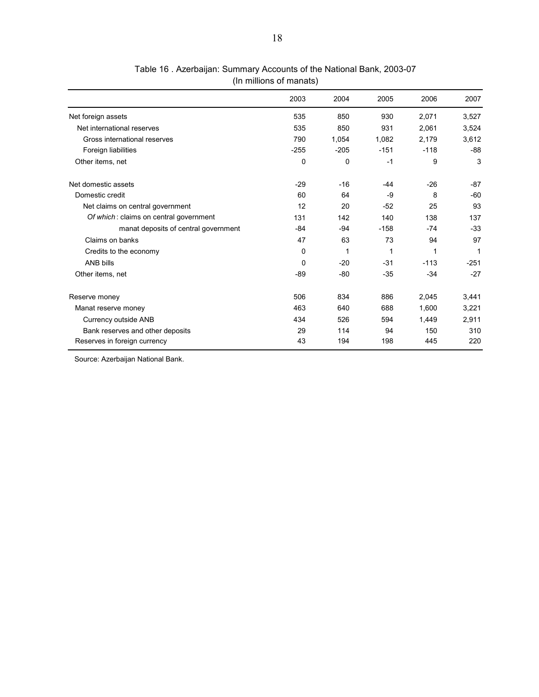|                                        | 2003        | 2004        | 2005   | 2006   | 2007   |
|----------------------------------------|-------------|-------------|--------|--------|--------|
| Net foreign assets                     | 535         | 850         | 930    | 2,071  | 3,527  |
| Net international reserves             | 535         | 850         | 931    | 2,061  | 3,524  |
| Gross international reserves           | 790         | 1,054       | 1,082  | 2,179  | 3,612  |
| Foreign liabilities                    | $-255$      | $-205$      | $-151$ | $-118$ | $-88$  |
| Other items, net                       | $\mathbf 0$ | $\mathbf 0$ | $-1$   | 9      | 3      |
| Net domestic assets                    | $-29$       | $-16$       | -44    | $-26$  | -87    |
| Domestic credit                        | 60          | 64          | -9     | 8      | $-60$  |
| Net claims on central government       | 12          | 20          | $-52$  | 25     | 93     |
| Of which: claims on central government | 131         | 142         | 140    | 138    | 137    |
| manat deposits of central government   | $-84$       | $-94$       | $-158$ | $-74$  | $-33$  |
| Claims on banks                        | 47          | 63          | 73     | 94     | 97     |
| Credits to the economy                 | 0           | 1           | 1      | 1      | 1      |
| ANB bills                              | $\mathbf 0$ | $-20$       | $-31$  | $-113$ | $-251$ |
| Other items, net                       | $-89$       | $-80$       | $-35$  | $-34$  | $-27$  |
| Reserve money                          | 506         | 834         | 886    | 2,045  | 3,441  |
| Manat reserve money                    | 463         | 640         | 688    | 1,600  | 3,221  |
| Currency outside ANB                   | 434         | 526         | 594    | 1,449  | 2,911  |
| Bank reserves and other deposits       | 29          | 114         | 94     | 150    | 310    |
| Reserves in foreign currency           | 43          | 194         | 198    | 445    | 220    |

### Table 16 . Azerbaijan: Summary Accounts of the National Bank, 2003-07 (In millions of manats)

Source: Azerbaijan National Bank.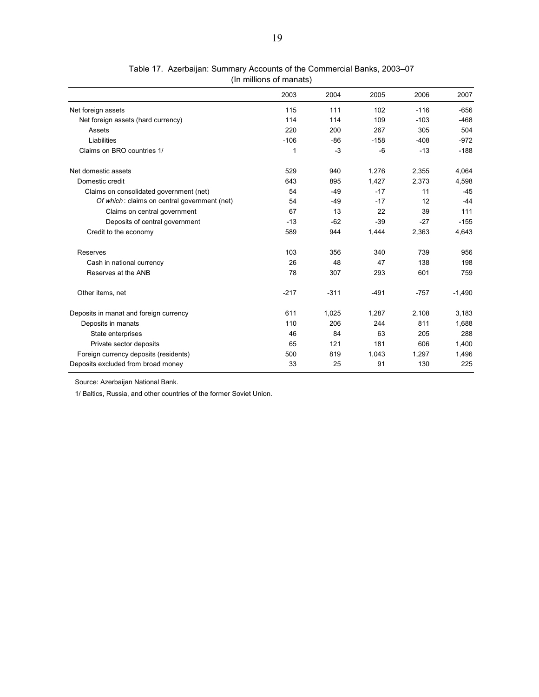|                                              | 2003   | 2004   | 2005   | 2006   | 2007     |
|----------------------------------------------|--------|--------|--------|--------|----------|
| Net foreign assets                           | 115    | 111    | 102    | $-116$ | $-656$   |
| Net foreign assets (hard currency)           | 114    | 114    | 109    | $-103$ | $-468$   |
| Assets                                       | 220    | 200    | 267    | 305    | 504      |
| Liabilities                                  | $-106$ | $-86$  | $-158$ | $-408$ | $-972$   |
| Claims on BRO countries 1/                   | 1      | $-3$   | $-6$   | $-13$  | $-188$   |
| Net domestic assets                          | 529    | 940    | 1,276  | 2,355  | 4,064    |
| Domestic credit                              | 643    | 895    | 1,427  | 2,373  | 4,598    |
| Claims on consolidated government (net)      | 54     | $-49$  | $-17$  | 11     | $-45$    |
| Of which: claims on central government (net) | 54     | $-49$  | $-17$  | 12     | $-44$    |
| Claims on central government                 | 67     | 13     | 22     | 39     | 111      |
| Deposits of central government               | $-13$  | $-62$  | $-39$  | $-27$  | $-155$   |
| Credit to the economy                        | 589    | 944    | 1,444  | 2,363  | 4,643    |
| Reserves                                     | 103    | 356    | 340    | 739    | 956      |
| Cash in national currency                    | 26     | 48     | 47     | 138    | 198      |
| Reserves at the ANB                          | 78     | 307    | 293    | 601    | 759      |
| Other items, net                             | $-217$ | $-311$ | $-491$ | $-757$ | $-1,490$ |
| Deposits in manat and foreign currency       | 611    | 1,025  | 1,287  | 2,108  | 3,183    |
| Deposits in manats                           | 110    | 206    | 244    | 811    | 1,688    |
| State enterprises                            | 46     | 84     | 63     | 205    | 288      |
| Private sector deposits                      | 65     | 121    | 181    | 606    | 1,400    |
| Foreign currency deposits (residents)        | 500    | 819    | 1,043  | 1,297  | 1,496    |
| Deposits excluded from broad money           | 33     | 25     | 91     | 130    | 225      |

| Table 17. Azerbaijan: Summary Accounts of the Commercial Banks, 2003–07 |  |
|-------------------------------------------------------------------------|--|
| (In millions of manats)                                                 |  |

Source: Azerbaijan National Bank.

1/ Baltics, Russia, and other countries of the former Soviet Union.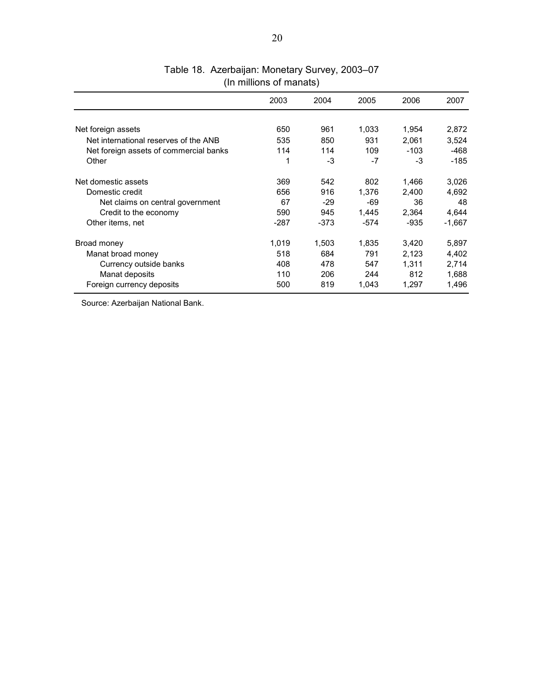|                                        | 2003   | 2004   | 2005   | 2006  | 2007     |
|----------------------------------------|--------|--------|--------|-------|----------|
|                                        |        |        |        |       |          |
| Net foreign assets                     | 650    | 961    | 1,033  | 1,954 | 2,872    |
| Net international reserves of the ANB  | 535    | 850    | 931    | 2.061 | 3.524    |
| Net foreign assets of commercial banks | 114    | 114    | 109    | -103  | -468     |
| Other                                  | 1      | -3     | -7     | -3    | -185     |
| Net domestic assets                    | 369    | 542    | 802    | 1.466 | 3,026    |
| Domestic credit                        | 656    | 916    | 1,376  | 2,400 | 4,692    |
| Net claims on central government       | 67     | -29    | -69    | 36    | 48       |
| Credit to the economy                  | 590    | 945    | 1,445  | 2,364 | 4,644    |
| Other items, net                       | $-287$ | $-373$ | $-574$ | -935  | $-1,667$ |
| Broad money                            | 1,019  | 1,503  | 1,835  | 3,420 | 5,897    |
| Manat broad money                      | 518    | 684    | 791    | 2,123 | 4,402    |
| Currency outside banks                 | 408    | 478    | 547    | 1.311 | 2,714    |
| Manat deposits                         | 110    | 206    | 244    | 812   | 1,688    |
| Foreign currency deposits              | 500    | 819    | 1,043  | 1,297 | 1,496    |

## Table 18. Azerbaijan: Monetary Survey, 2003–07 (In millions of manats)

Source: Azerbaijan National Bank.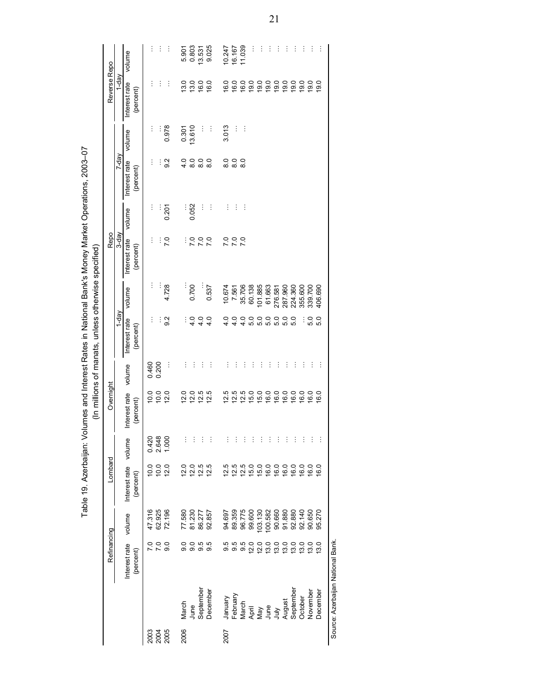|                                                     |              |          |                                   | 2003                    | 2004<br>2005     |            | 2006     |                  |                   |                | 2007                |            |               |          |                                                       |          |          |          |          |                            |          |          |
|-----------------------------------------------------|--------------|----------|-----------------------------------|-------------------------|------------------|------------|----------|------------------|-------------------|----------------|---------------------|------------|---------------|----------|-------------------------------------------------------|----------|----------|----------|----------|----------------------------|----------|----------|
|                                                     |              |          |                                   |                         |                  |            | March    | June             | September         | December       | January<br>February |            | March         |          | April<br>May<br>July<br>August<br>August<br>September |          |          |          |          | October                    | November | December |
|                                                     | Refinancing  |          | Interest rate<br>(percent)        | 0 0 0<br>N N 0<br>N N   |                  |            | 0.6      |                  | 0.5<br>0.0        | 9.5            | 9.5                 | 0.5<br>0.6 |               |          | 200000000<br>200000000                                |          |          |          |          |                            |          | 13.0     |
|                                                     |              |          | volume                            | 47.316                  | 62.925<br>72.196 |            |          | 77.580<br>81.230 | 86.277<br>92.857  |                | 94.697              | 89.359     | 96.775        |          | 99.600<br>103.130<br>100.582                          |          | 90.660   | 91.880   |          | 92.880<br>92.140<br>90.650 |          | 95.270   |
|                                                     | Lombard      |          | Interest rate volume<br>(percent) | 10.0                    | 10.0             | 12.0       | 12.0     |                  | 12.5<br>12.5      | 12.5           | 12.5                | 12.5       | 12.5          | 15.0     |                                                       |          | 0000     |          | 16.0     | 16.0                       |          | 16.0     |
|                                                     | Ï            |          |                                   | 0.420<br>2.648<br>1.000 |                  |            |          |                  |                   |                |                     |            |               |          |                                                       |          |          |          |          |                            |          |          |
|                                                     | Overnight    |          | Interest rate<br>(percent)        | 10.0                    | 10.0             | 12.0       | 12.0     | 12.0             | 12.5              | 12.5           | 12.5                | 12.5       | 12.5          | 15.0     | 15.0                                                  | 16.0     | 16.0     | 16.0     | 16.0     | 16.0                       | 16.0     | 16.0     |
|                                                     |              |          | volume                            | 0.460                   | 0.200            | $\vdots$   | $\vdots$ | İ                | İ                 | $\vdots$       | İ                   | $\vdots$   | İ             | İ        | $\vdots$                                              | $\vdots$ | ÷        | $\vdots$ | İ        | İ                          | İ        | $\vdots$ |
| (In millions of manats, unless otherwise specified) |              | $1-day$  | Interest rate<br>(percent)        | $\vdots$                | I                | 9.2        | Ì        | 4.0              | 4.0               | 4.0            | $\frac{0}{4}$       | 4.0        | 4.0           | 5.0      | 5.0                                                   | 5.0      | 5.0      | 5.0      | 5.0      | İ                          | 5.0      | 5.0      |
|                                                     |              |          | volume                            | İ                       | $\vdots$         | 4.728      | $\vdots$ | 0.700            |                   | 0.537          | 10.674              | 7.561      | 35.706        | 60.138   | 101.885                                               | 61.663   | 276.581  | 287.960  | 224.360  | 355.600                    | 339.700  | 406.690  |
|                                                     | Repo         | 3-day    | Interest rate<br>(percent)        | $\vdots$                |                  | <b>P.O</b> | I        | °2               | $\overline{2}$    | $\overline{2}$ | ΣC                  | 7.0        |               |          |                                                       |          |          |          |          |                            |          |          |
|                                                     |              |          | volume                            | $\vdots$                |                  | 0.201      |          | 0.052            | İ                 | ÷              | İ                   | İ          | $\vdots$      |          |                                                       |          |          |          |          |                            |          |          |
|                                                     |              | T-day    | Interest rate<br>(percent)        | ÷                       | İ                | 9.2        | 4.0      | $\frac{0}{8}$    | $\overline{8}$ .0 | $\frac{0}{8}$  | $\frac{0}{8}$       | 8.0        | $\frac{0}{8}$ |          |                                                       |          |          |          |          |                            |          |          |
|                                                     |              |          | volume                            | $\vdots$                |                  | 0.978      | 0.301    | 13.610           | Ì                 | $\vdots$       | 3.013               | İ          | $\vdots$      |          |                                                       |          |          |          |          |                            |          |          |
|                                                     | Reverse Repo | $Y$ -day | Interest rate<br>(percent)        | ÷                       | İ                | $\vdots$   | 13.0     | 13.0             | 16.0              | 16.0           | 16.0                | 16.0       | 16.0          | 19.0     | 19.0                                                  | 19.0     | 19.0     | 19.0     | 19.0     | 19.0                       | 19.0     | 19.0     |
|                                                     |              |          | volume                            | $\vdots$                | $\vdots$         | $\vdots$   | 5.901    | 0.803            | 13.531            | 9.025          | 10.247              | 16.167     | 11.039        | $\vdots$ | $\vdots$                                              | $\vdots$ | $\vdots$ | $\vdots$ | $\vdots$ | $\vdots$                   | ÷        | $\vdots$ |

Table 19. Azerbaijan: Volumes and Interest Rates in National Bank's Money Market Operations, 2003-07 Table 19. Azerbaijan: Volumes and Interest Rates in National Bank's Money Market Operations, 2003–07

> Source: Azerbaijan National Bank. Source: Azerbaijan National Bank.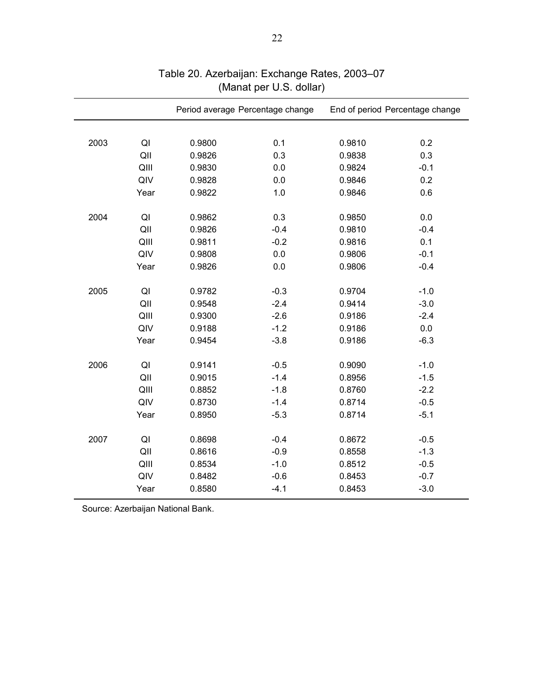|      |      |        | Period average Percentage change | End of period Percentage change |         |  |  |  |
|------|------|--------|----------------------------------|---------------------------------|---------|--|--|--|
|      |      |        |                                  |                                 |         |  |  |  |
| 2003 | QI   | 0.9800 | 0.1                              | 0.9810                          | 0.2     |  |  |  |
|      | QII  | 0.9826 | 0.3                              | 0.9838                          | 0.3     |  |  |  |
|      | QIII | 0.9830 | 0.0                              | 0.9824                          | $-0.1$  |  |  |  |
|      | QIV  | 0.9828 | 0.0                              | 0.9846                          | 0.2     |  |  |  |
|      | Year | 0.9822 | 1.0                              | 0.9846                          | 0.6     |  |  |  |
| 2004 | QI   | 0.9862 | 0.3                              | 0.9850                          | 0.0     |  |  |  |
|      | QII  | 0.9826 | $-0.4$                           | 0.9810                          | $-0.4$  |  |  |  |
|      | QIII | 0.9811 | $-0.2$                           | 0.9816                          | 0.1     |  |  |  |
|      | QIV  | 0.9808 | 0.0                              | 0.9806                          | $-0.1$  |  |  |  |
|      | Year | 0.9826 | 0.0                              | 0.9806                          | $-0.4$  |  |  |  |
| 2005 | QI   | 0.9782 | $-0.3$                           | 0.9704                          | $-1.0$  |  |  |  |
|      | QII  | 0.9548 | $-2.4$                           | 0.9414                          | $-3.0$  |  |  |  |
|      | QIII | 0.9300 | $-2.6$                           | 0.9186                          | $-2.4$  |  |  |  |
|      | QIV  | 0.9188 | $-1.2$                           | 0.9186                          | $0.0\,$ |  |  |  |
|      | Year | 0.9454 | $-3.8$                           | 0.9186                          | $-6.3$  |  |  |  |
|      |      |        |                                  |                                 |         |  |  |  |
| 2006 | QI   | 0.9141 | $-0.5$                           | 0.9090                          | $-1.0$  |  |  |  |
|      | QII  | 0.9015 | $-1.4$                           | 0.8956                          | $-1.5$  |  |  |  |
|      | QIII | 0.8852 | $-1.8$                           | 0.8760                          | $-2.2$  |  |  |  |
|      | QIV  | 0.8730 | $-1.4$                           | 0.8714                          | $-0.5$  |  |  |  |
|      | Year | 0.8950 | $-5.3$                           | 0.8714                          | $-5.1$  |  |  |  |
| 2007 | QI   | 0.8698 | $-0.4$                           | 0.8672                          | $-0.5$  |  |  |  |
|      | QII  | 0.8616 | $-0.9$                           | 0.8558                          | $-1.3$  |  |  |  |
|      | QIII | 0.8534 | $-1.0$                           | 0.8512                          | $-0.5$  |  |  |  |
|      | QIV  | 0.8482 | $-0.6$                           | 0.8453                          | $-0.7$  |  |  |  |
|      | Year | 0.8580 | $-4.1$                           | 0.8453                          | $-3.0$  |  |  |  |
|      |      |        |                                  |                                 |         |  |  |  |

# Table 20. Azerbaijan: Exchange Rates, 2003–07 (Manat per U.S. dollar)

Source: Azerbaijan National Bank.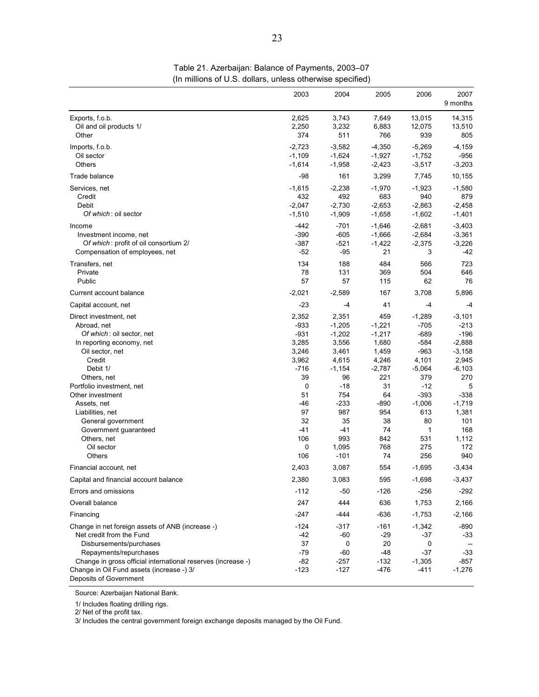|                                                                                                                                                                                                                                                                          | 2003                                                           | 2004                                                                 | 2005                                                               | 2006                                                                  | 2007<br>9 months                                                        |
|--------------------------------------------------------------------------------------------------------------------------------------------------------------------------------------------------------------------------------------------------------------------------|----------------------------------------------------------------|----------------------------------------------------------------------|--------------------------------------------------------------------|-----------------------------------------------------------------------|-------------------------------------------------------------------------|
| Exports, f.o.b.<br>Oil and oil products 1/<br>Other                                                                                                                                                                                                                      | 2,625<br>2,250<br>374                                          | 3,743<br>3,232<br>511                                                | 7,649<br>6,883<br>766                                              | 13,015<br>12,075<br>939                                               | 14,315<br>13,510<br>805                                                 |
| Imports, f.o.b.<br>Oil sector<br>Others                                                                                                                                                                                                                                  | $-2,723$<br>$-1,109$<br>$-1,614$                               | $-3.582$<br>$-1,624$<br>$-1,958$                                     | $-4,350$<br>$-1,927$<br>$-2,423$                                   | $-5,269$<br>$-1,752$<br>$-3,517$                                      | $-4,159$<br>-956<br>$-3,203$                                            |
| Trade balance                                                                                                                                                                                                                                                            | $-98$                                                          | 161                                                                  | 3,299                                                              | 7,745                                                                 | 10,155                                                                  |
| Services, net<br>Credit<br>Debit<br>Of which: oil sector                                                                                                                                                                                                                 | $-1,615$<br>432<br>$-2,047$<br>$-1,510$                        | $-2,238$<br>492<br>$-2,730$<br>$-1,909$                              | $-1,970$<br>683<br>$-2,653$<br>$-1,658$                            | $-1,923$<br>940<br>$-2,863$<br>$-1,602$                               | $-1,580$<br>879<br>$-2,458$<br>$-1,401$                                 |
| Income<br>Investment income, net<br>Of which: profit of oil consortium 2/<br>Compensation of employees, net                                                                                                                                                              | -442<br>$-390$<br>$-387$<br>$-52$                              | $-701$<br>$-605$<br>$-521$<br>$-95$                                  | $-1,646$<br>$-1,666$<br>$-1,422$<br>21                             | $-2,681$<br>$-2,684$<br>$-2,375$<br>3                                 | $-3,403$<br>$-3,361$<br>$-3,226$<br>-42                                 |
| Transfers, net<br>Private<br>Public                                                                                                                                                                                                                                      | 134<br>78<br>57                                                | 188<br>131<br>57                                                     | 484<br>369<br>115                                                  | 566<br>504<br>62                                                      | 723<br>646<br>76                                                        |
| Current account balance                                                                                                                                                                                                                                                  | $-2,021$                                                       | $-2,589$                                                             | 167                                                                | 3,708                                                                 | 5,896                                                                   |
| Capital account, net                                                                                                                                                                                                                                                     | $-23$                                                          | -4                                                                   | 41                                                                 | -4                                                                    | -4                                                                      |
| Direct investment, net<br>Abroad, net<br>Of which: oil sector, net<br>In reporting economy, net<br>Oil sector, net<br>Credit<br>Debit 1/                                                                                                                                 | 2,352<br>$-933$<br>$-931$<br>3,285<br>3,246<br>3,962<br>$-716$ | 2,351<br>$-1,205$<br>$-1,202$<br>3,556<br>3,461<br>4,615<br>$-1,154$ | 459<br>$-1,221$<br>$-1,217$<br>1,680<br>1,459<br>4,246<br>$-2,787$ | $-1,289$<br>$-705$<br>$-689$<br>$-584$<br>$-963$<br>4,101<br>$-5,064$ | $-3,101$<br>-213<br>$-196$<br>$-2,888$<br>$-3,158$<br>2,945<br>$-6,103$ |
| Others, net<br>Portfolio investment, net<br>Other investment<br>Assets, net                                                                                                                                                                                              | 39<br>0<br>51<br>-46                                           | 96<br>$-18$<br>754<br>$-233$                                         | 221<br>31<br>64<br>$-890$                                          | 379<br>$-12$<br>$-393$<br>$-1,006$                                    | 270<br>5<br>-338<br>$-1,719$                                            |
| Liabilities, net<br>General government<br>Government guaranteed<br>Others, net<br>Oil sector<br>Others                                                                                                                                                                   | 97<br>32<br>$-41$<br>106<br>0<br>106                           | 987<br>35<br>$-41$<br>993<br>1,095<br>$-101$                         | 954<br>38<br>74<br>842<br>768<br>74                                | 613<br>80<br>1<br>531<br>275<br>256                                   | 1,381<br>101<br>168<br>1,112<br>172<br>940                              |
| Financial account, net                                                                                                                                                                                                                                                   | 2,403                                                          | 3,087                                                                | 554                                                                | $-1,695$                                                              | $-3,434$                                                                |
| Capital and financial account balance                                                                                                                                                                                                                                    | 2,380                                                          | 3,083                                                                | 595                                                                | $-1,698$                                                              | $-3,437$                                                                |
| Errors and omissions                                                                                                                                                                                                                                                     | $-112$                                                         | -50                                                                  | $-126$                                                             | $-256$                                                                | -292                                                                    |
| Overall balance                                                                                                                                                                                                                                                          | 247                                                            | 444                                                                  | 636                                                                | 1,753                                                                 | 2,166                                                                   |
| Financing                                                                                                                                                                                                                                                                | -247                                                           | $-444$                                                               | $-636$                                                             | $-1,753$                                                              | $-2,166$                                                                |
| Change in net foreign assets of ANB (increase -)<br>Net credit from the Fund<br>Disbursements/purchases<br>Repayments/repurchases<br>Change in gross official international reserves (increase -)<br>Change in Oil Fund assets (increase -) 3/<br>Deposits of Government | $-124$<br>-42<br>37<br>$-79$<br>$-82$<br>$-123$                | $-317$<br>-60<br>0<br>-60<br>-257<br>$-127$                          | $-161$<br>-29<br>20<br>-48<br>$-132$<br>-476                       | $-1,342$<br>$-37$<br>0<br>$-37$<br>$-1,305$<br>$-411$                 | $-890$<br>-33<br>$-33$<br>$-857$<br>$-1,276$                            |

Table 21. Azerbaijan: Balance of Payments, 2003–07 (In millions of U.S. dollars, unless otherwise specified)

Source: Azerbaijan National Bank.

1/ Includes floating drilling rigs.

2/ Net of the profit tax.

3/ Includes the central government foreign exchange deposits managed by the Oil Fund.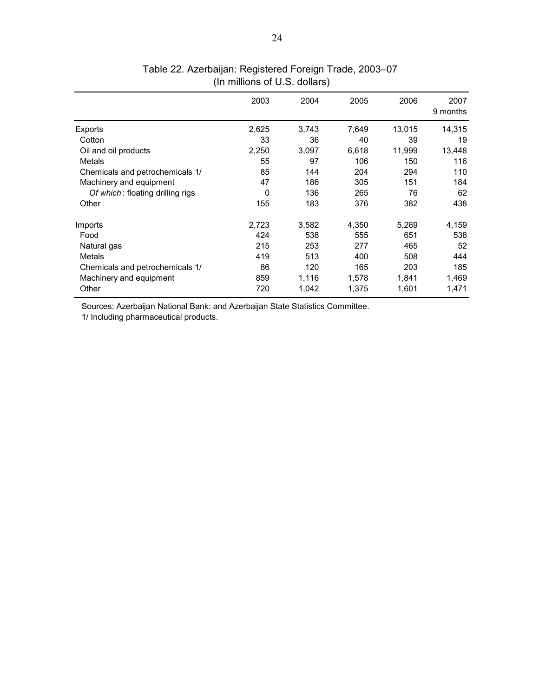|                                  | 2003  | 2004  | 2005  | 2006   | 2007<br>9 months |
|----------------------------------|-------|-------|-------|--------|------------------|
| Exports                          | 2,625 | 3,743 | 7,649 | 13,015 | 14,315           |
| Cotton                           | 33    | 36    | 40    | 39     | 19               |
| Oil and oil products             | 2,250 | 3,097 | 6,618 | 11,999 | 13,448           |
| Metals                           | 55    | 97    | 106   | 150    | 116              |
| Chemicals and petrochemicals 1/  | 85    | 144   | 204   | 294    | 110              |
| Machinery and equipment          | 47    | 186   | 305   | 151    | 184              |
| Of which: floating drilling rigs | 0     | 136   | 265   | 76     | 62               |
| Other                            | 155   | 183   | 376   | 382    | 438              |
| Imports                          | 2,723 | 3,582 | 4,350 | 5.269  | 4,159            |
| Food                             | 424   | 538   | 555   | 651    | 538              |
| Natural gas                      | 215   | 253   | 277   | 465    | 52               |
| Metals                           | 419   | 513   | 400   | 508    | 444              |
| Chemicals and petrochemicals 1/  | 86    | 120   | 165   | 203    | 185              |
| Machinery and equipment          | 859   | 1,116 | 1,578 | 1,841  | 1,469            |
| Other                            | 720   | 1,042 | 1,375 | 1,601  | 1,471            |

(In millions of U.S. dollars) Table 22. Azerbaijan: Registered Foreign Trade, 2003–07

Sources: Azerbaijan National Bank; and Azerbaijan State Statistics Committee. 1/ Including pharmaceutical products.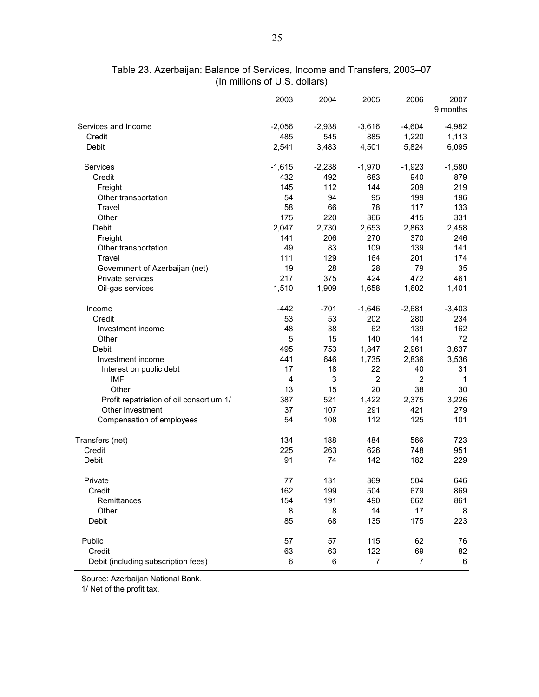|                                          | 2003     | 2004     | 2005           | 2006           | 2007<br>9 months |
|------------------------------------------|----------|----------|----------------|----------------|------------------|
| Services and Income                      | $-2,056$ | $-2,938$ | $-3,616$       | $-4,604$       | $-4,982$         |
| Credit                                   | 485      | 545      | 885            | 1,220          | 1,113            |
| Debit                                    | 2,541    | 3,483    | 4,501          | 5,824          | 6,095            |
| Services                                 | $-1,615$ | $-2,238$ | $-1,970$       | $-1,923$       | $-1,580$         |
| Credit                                   | 432      | 492      | 683            | 940            | 879              |
| Freight                                  | 145      | 112      | 144            | 209            | 219              |
| Other transportation                     | 54       | 94       | 95             | 199            | 196              |
| Travel                                   | 58       | 66       | 78             | 117            | 133              |
| Other                                    | 175      | 220      | 366            | 415            | 331              |
| Debit                                    | 2,047    | 2,730    | 2,653          | 2,863          | 2,458            |
| Freight                                  | 141      | 206      | 270            | 370            | 246              |
| Other transportation                     | 49       | 83       | 109            | 139            | 141              |
| Travel                                   | 111      | 129      | 164            | 201            | 174              |
| Government of Azerbaijan (net)           | 19       | 28       | 28             | 79             | 35               |
| Private services                         | 217      | 375      | 424            | 472            | 461              |
| Oil-gas services                         | 1,510    | 1,909    | 1,658          | 1,602          | 1,401            |
| Income                                   | $-442$   | $-701$   | $-1,646$       | $-2,681$       | $-3,403$         |
| Credit                                   | 53       | 53       | 202            | 280            | 234              |
| Investment income                        | 48       | 38       | 62             | 139            | 162              |
| Other                                    | 5        | 15       | 140            | 141            | 72               |
| Debit                                    | 495      | 753      | 1,847          | 2,961          | 3,637            |
| Investment income                        | 441      | 646      | 1,735          | 2,836          | 3,536            |
| Interest on public debt                  | 17       | 18       | 22             | 40             | 31               |
| <b>IMF</b>                               | 4        | 3        | $\overline{2}$ | $\overline{2}$ | $\mathbf{1}$     |
| Other                                    | 13       | 15       | 20             | 38             | 30               |
| Profit repatriation of oil consortium 1/ | 387      | 521      | 1,422          | 2,375          | 3,226            |
| Other investment                         | 37       | 107      | 291            | 421            | 279              |
| Compensation of employees                | 54       | 108      | 112            | 125            | 101              |
| Transfers (net)                          | 134      | 188      | 484            | 566            | 723              |
| Credit                                   | 225      | 263      | 626            | 748            | 951              |
| Debit                                    | 91       | 74       | 142            | 182            | 229              |
| Private                                  | 77       | 131      | 369            | 504            | 646              |
| Credit                                   | 162      | 199      | 504            | 679            | 869              |
| Remittances                              | 154      | 191      | 490            | 662            | 861              |
| Other                                    | 8        | 8        | 14             | 17             | 8                |
| Debit                                    | 85       | 68       | 135            | 175            | 223              |
| Public                                   | 57       | 57       | 115            | 62             | 76               |
| Credit                                   | 63       | 63       | 122            | 69             | 82               |
| Debit (including subscription fees)      | 6        | 6        | $\overline{7}$ | 7              | 6                |

Table 23. Azerbaijan: Balance of Services, Income and Transfers, 2003–07 (In millions of U.S. dollars)

Source: Azerbaijan National Bank.

1/ Net of the profit tax.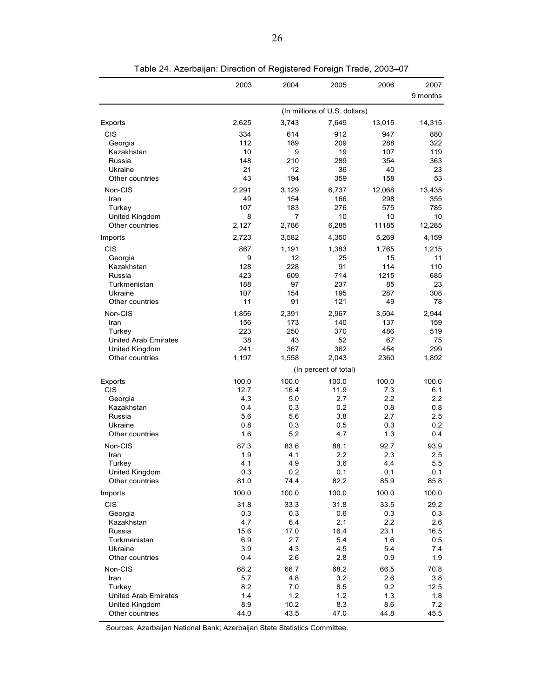|                                   | 2003       | 2004         | 2005                                   | 2006        | 2007                    |
|-----------------------------------|------------|--------------|----------------------------------------|-------------|-------------------------|
|                                   |            |              |                                        |             | 9 months                |
|                                   |            |              |                                        |             |                         |
| Exports                           | 2,625      | 3,743        | (In millions of U.S. dollars)<br>7,649 | 13,015      | 14,315                  |
| CIS                               | 334        | 614          | 912                                    | 947         | 880                     |
| Georgia                           | 112        | 189          | 209                                    | 288         | 322                     |
| Kazakhstan                        | 10         | 9            | 19                                     | 107         | 119                     |
| Russia                            | 148        | 210          | 289                                    | 354         | 363                     |
| Ukraine                           | 21         | 12           | 36                                     | 40          | 23                      |
| Other countries                   | 43         | 194          | 359                                    | 158         | 53                      |
| Non-CIS                           | 2,291      | 3,129        | 6,737                                  | 12,068      | 13,435                  |
| Iran<br>Turkey                    | 49<br>107  | 154<br>183   | 166<br>276                             | 298<br>575  | 355<br>785              |
| United Kingdom                    | 8          | 7            | 10                                     | 10          | 10                      |
| Other countries                   | 2,127      | 2,786        | 6,285                                  | 11185       | 12,285                  |
| Imports                           | 2,723      | 3,582        | 4,350                                  | 5,269       | 4,159                   |
| <b>CIS</b>                        | 867        |              |                                        |             | 1,215                   |
| Georgia                           | 9          | 1,191<br>12  | 1,383<br>25                            | 1,765<br>15 | 11                      |
| Kazakhstan                        | 128        | 228          | 91                                     | 114         | 110                     |
| Russia                            | 423        | 609          | 714                                    | 1215        | 685                     |
| Turkmenistan                      | 188        | 97           | 237                                    | 85          | 23                      |
| Ukraine                           | 107        | 154          | 195                                    | 287         | 308                     |
| Other countries                   | 11         | 91           | 121                                    | 49          | 78                      |
| Non-CIS                           | 1,856      | 2,391        | 2,967                                  | 3,504       | 2,944                   |
| Iran                              | 156        | 173          | 140                                    | 137         | 159                     |
| Turkey                            | 223        | 250          | 370                                    | 486         | 519                     |
| <b>United Arab Emirates</b>       | 38         | 43           | 52                                     | 67          | 75                      |
| United Kingdom                    | 241        | 367          | 362                                    | 454         | 299                     |
| Other countries                   | 1,197      | 1,558        | 2,043                                  | 2360        | 1,892                   |
|                                   |            |              | (In percent of total)                  |             |                         |
| Exports                           | 100.0      | 100.0        | 100.0                                  | 100.0       | 100.0                   |
| CIS                               | 12.7       | 16.4         | 11.9                                   | 7.3         | 6.1                     |
| Georgia<br>Kazakhstan             | 4.3<br>0.4 | 5.0<br>0.3   | 2.7<br>0.2                             | 2.2<br>0.8  | $2.2\phantom{0}$<br>0.8 |
| Russia                            | 5.6        | 5.6          | 3.8                                    | 2.7         | 2.5                     |
| Ukraine                           | 0.8        | 0.3          | 0.5                                    | 0.3         | 0.2                     |
| Other countries                   | 1.6        | 5.2          | 4.7                                    | 1.3         | 0.4                     |
| Non-CIS                           | 87.3       | 83.6         | 88.1                                   | 92.7        | 93.9                    |
| Iran                              | 1.9        | 4.1          | 2.2                                    | 2.3         | 2.5                     |
| Turkey                            | 4.1        | 4.9          | 3.6                                    | 4.4         | 5.5                     |
| United Kingdom                    | 0.3        | 0.2          | 0.1                                    | 0.1         | 0.1                     |
| Other countries                   | 81.0       | 74.4         | 82.2                                   | 85.9        | 85.8                    |
| Imports                           | 100.0      | 100.0        | 100.0                                  | 100.0       | 100.0                   |
| <b>CIS</b>                        | 31.8       | 33.3         | 31.8                                   | 33.5        | 29.2                    |
| Georgia                           | 0.3        | 0.3          | 0.6                                    | 0.3         | 0.3                     |
| Kazakhstan                        | 4.7        | 6.4          | 2.1                                    | 2.2         | 2.6                     |
| Russia                            | 15.6       | 17.0         | 16.4                                   | 23.1        | 16.5                    |
| Turkmenistan                      | 6.9        | 2.7          | 5.4                                    | 1.6         | 0.5                     |
| Ukraine                           | 3.9        | 4.3          | 4.5                                    | 5.4         | 7.4                     |
| Other countries                   | 0.4        | 2.6          | 2.8                                    | 0.9         | 1.9                     |
| Non-CIS                           | 68.2       | 66.7         | 68.2                                   | 66.5        | 70.8                    |
| Iran                              | 5.7        | 4.8          | 3.2                                    | 2.6         | 3.8                     |
| Turkey                            | 8.2        | 7.0          | 8.5                                    | 9.2         | 12.5                    |
| United Arab Emirates              | 1.4<br>8.9 | $1.2$        | 1.2                                    | 1.3         | 1.8                     |
| United Kingdom<br>Other countries | 44.0       | 10.2<br>43.5 | 8.3<br>47.0                            | 8.6<br>44.8 | 7.2<br>45.5             |
|                                   |            |              |                                        |             |                         |

Table 24. Azerbaijan: Direction of Registered Foreign Trade, 2003–07

Sources: Azerbaijan National Bank; Azerbaijan State Statistics Committee.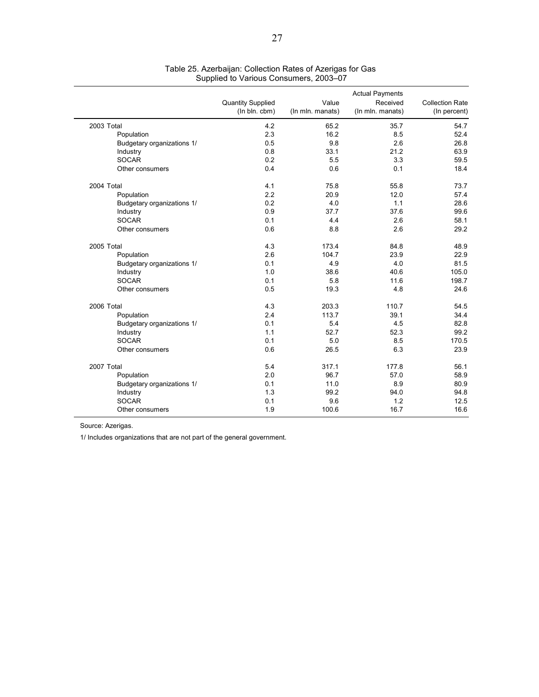|                            |                          |                  | <b>Actual Payments</b> |                        |
|----------------------------|--------------------------|------------------|------------------------|------------------------|
|                            | <b>Quantity Supplied</b> | Value            | Received               | <b>Collection Rate</b> |
|                            | (In bln. cbm)            | (In mln. manats) | (In mln. manats)       | (In percent)           |
| 2003 Total                 | 4.2                      | 65.2             | 35.7                   | 54.7                   |
| Population                 | 2.3                      | 16.2             | 8.5                    | 52.4                   |
| Budgetary organizations 1/ | 0.5                      | 9.8              | 2.6                    | 26.8                   |
| Industry                   | 0.8                      | 33.1             | 21.2                   | 63.9                   |
| <b>SOCAR</b>               | 0.2                      | 5.5              | 3.3                    | 59.5                   |
| Other consumers            | 0.4                      | 0.6              | 0.1                    | 18.4                   |
| 2004 Total                 | 4.1                      | 75.8             | 55.8                   | 73.7                   |
| Population                 | 2.2                      | 20.9             | 12.0                   | 57.4                   |
| Budgetary organizations 1/ | 0.2                      | 4.0              | 1.1                    | 28.6                   |
| Industry                   | 0.9                      | 37.7             | 37.6                   | 99.6                   |
| <b>SOCAR</b>               | 0.1                      | 4.4              | 2.6                    | 58.1                   |
| Other consumers            | 0.6                      | 8.8              | 2.6                    | 29.2                   |
| 2005 Total                 | 4.3                      | 173.4            | 84.8                   | 48.9                   |
| Population                 | 2.6                      | 104.7            | 23.9                   | 22.9                   |
| Budgetary organizations 1/ | 0.1                      | 4.9              | 4.0                    | 81.5                   |
| Industry                   | 1.0                      | 38.6             | 40.6                   | 105.0                  |
| <b>SOCAR</b>               | 0.1                      | 5.8              | 11.6                   | 198.7                  |
| Other consumers            | 0.5                      | 19.3             | 4.8                    | 24.6                   |
| 2006 Total                 | 4.3                      | 203.3            | 110.7                  | 54.5                   |
| Population                 | 2.4                      | 113.7            | 39.1                   | 34.4                   |
| Budgetary organizations 1/ | 0.1                      | 5.4              | 4.5                    | 82.8                   |
| Industry                   | 1.1                      | 52.7             | 52.3                   | 99.2                   |
| <b>SOCAR</b>               | 0.1                      | 5.0              | 8.5                    | 170.5                  |
| Other consumers            | 0.6                      | 26.5             | 6.3                    | 23.9                   |
| 2007 Total                 | 5.4                      | 317.1            | 177.8                  | 56.1                   |
| Population                 | 2.0                      | 96.7             | 57.0                   | 58.9                   |
| Budgetary organizations 1/ | 0.1                      | 11.0             | 8.9                    | 80.9                   |
| Industry                   | 1.3                      | 99.2             | 94.0                   | 94.8                   |
| <b>SOCAR</b>               | 0.1                      | 9.6              | 1.2                    | 12.5                   |
| Other consumers            | 1.9                      | 100.6            | 16.7                   | 16.6                   |

Table 25. Azerbaijan: Collection Rates of Azerigas for Gas Supplied to Various Consumers, 2003–07

Source: Azerigas.

1/ Includes organizations that are not part of the general government.